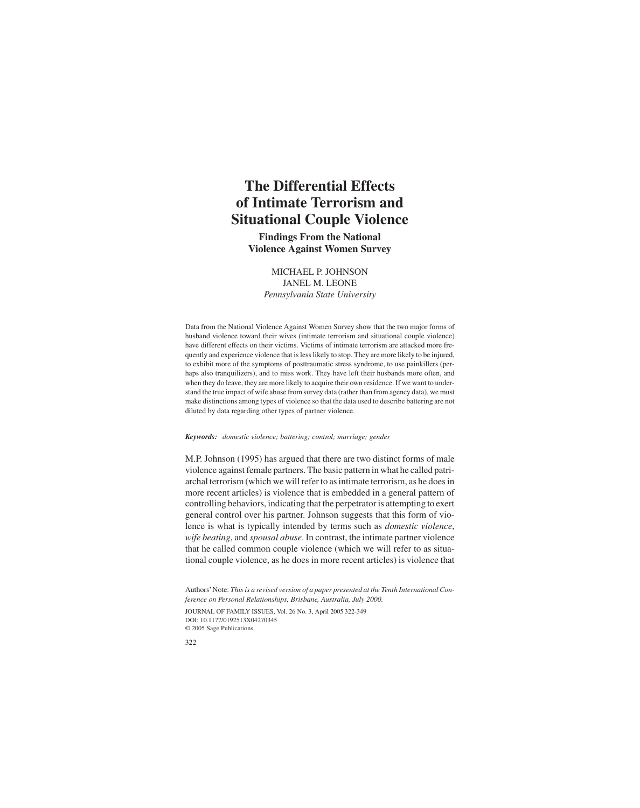# **The Differential Effects of Intimate Terrorism and Situational Couple Violence**

**Findings From the National Violence Against Women Survey**

> MICHAEL P. JOHNSON JANEL M. LEONE *Pennsylvania State University*

Data from the National Violence Against Women Survey show that the two major forms of husband violence toward their wives (intimate terrorism and situational couple violence) have different effects on their victims. Victims of intimate terrorism are attacked more frequently and experience violence that is less likely to stop. They are more likely to be injured, to exhibit more of the symptoms of posttraumatic stress syndrome, to use painkillers (perhaps also tranquilizers), and to miss work. They have left their husbands more often, and when they do leave, they are more likely to acquire their own residence. If we want to understand the true impact of wife abuse from survey data (rather than from agency data), we must make distinctions among types of violence so that the data used to describe battering are not diluted by data regarding other types of partner violence.

### *Keywords: domestic violence; battering; control; marriage; gender*

M.P. Johnson (1995) has argued that there are two distinct forms of male violence against female partners. The basic pattern in what he called patriarchal terrorism (which we will refer to as intimate terrorism, as he does in more recent articles) is violence that is embedded in a general pattern of controlling behaviors, indicating that the perpetrator is attempting to exert general control over his partner. Johnson suggests that this form of violence is what is typically intended by terms such as *domestic violence*, *wife beating*, and *spousal abuse*. In contrast, the intimate partner violence that he called common couple violence (which we will refer to as situational couple violence, as he does in more recent articles) is violence that

Authors'Note: *This is a revised version of a paper presented at the Tenth International Conference on Personal Relationships, Brisbane, Australia, July 2000.*

JOURNAL OF FAMILY ISSUES, Vol. 26 No. 3, April 2005 322-349 DOI: 10.1177/0192513X04270345 © 2005 Sage Publications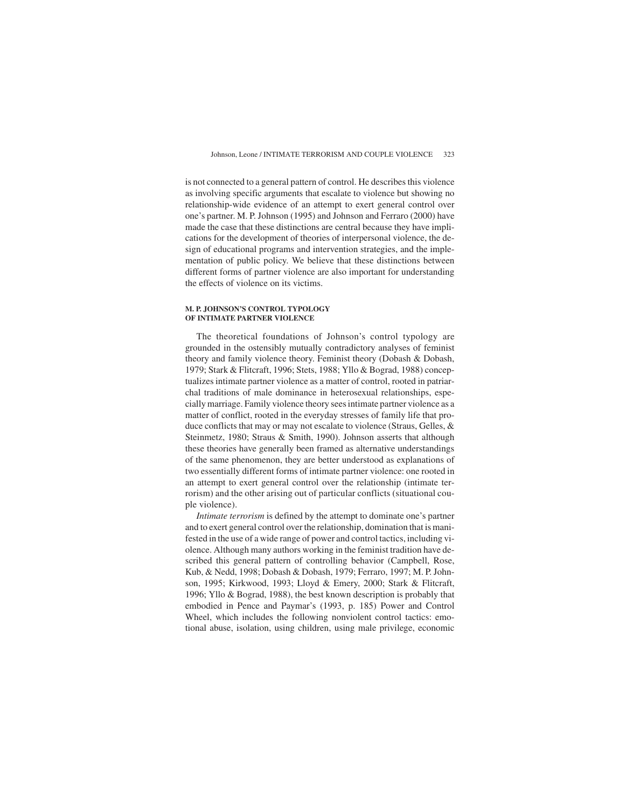is not connected to a general pattern of control. He describes this violence as involving specific arguments that escalate to violence but showing no relationship-wide evidence of an attempt to exert general control over one's partner. M. P. Johnson (1995) and Johnson and Ferraro (2000) have made the case that these distinctions are central because they have implications for the development of theories of interpersonal violence, the design of educational programs and intervention strategies, and the implementation of public policy. We believe that these distinctions between different forms of partner violence are also important for understanding the effects of violence on its victims.

# **M. P. JOHNSON'S CONTROL TYPOLOGY OF INTIMATE PARTNER VIOLENCE**

The theoretical foundations of Johnson's control typology are grounded in the ostensibly mutually contradictory analyses of feminist theory and family violence theory. Feminist theory (Dobash & Dobash, 1979; Stark & Flitcraft, 1996; Stets, 1988; Yllo & Bograd, 1988) conceptualizes intimate partner violence as a matter of control, rooted in patriarchal traditions of male dominance in heterosexual relationships, especially marriage. Family violence theory sees intimate partner violence as a matter of conflict, rooted in the everyday stresses of family life that produce conflicts that may or may not escalate to violence (Straus, Gelles, & Steinmetz, 1980; Straus & Smith, 1990). Johnson asserts that although these theories have generally been framed as alternative understandings of the same phenomenon, they are better understood as explanations of two essentially different forms of intimate partner violence: one rooted in an attempt to exert general control over the relationship (intimate terrorism) and the other arising out of particular conflicts (situational couple violence).

*Intimate terrorism* is defined by the attempt to dominate one's partner and to exert general control over the relationship, domination that is manifested in the use of a wide range of power and control tactics, including violence. Although many authors working in the feminist tradition have described this general pattern of controlling behavior (Campbell, Rose, Kub, & Nedd, 1998; Dobash & Dobash, 1979; Ferraro, 1997; M. P. Johnson, 1995; Kirkwood, 1993; Lloyd & Emery, 2000; Stark & Flitcraft, 1996; Yllo & Bograd, 1988), the best known description is probably that embodied in Pence and Paymar's (1993, p. 185) Power and Control Wheel, which includes the following nonviolent control tactics: emotional abuse, isolation, using children, using male privilege, economic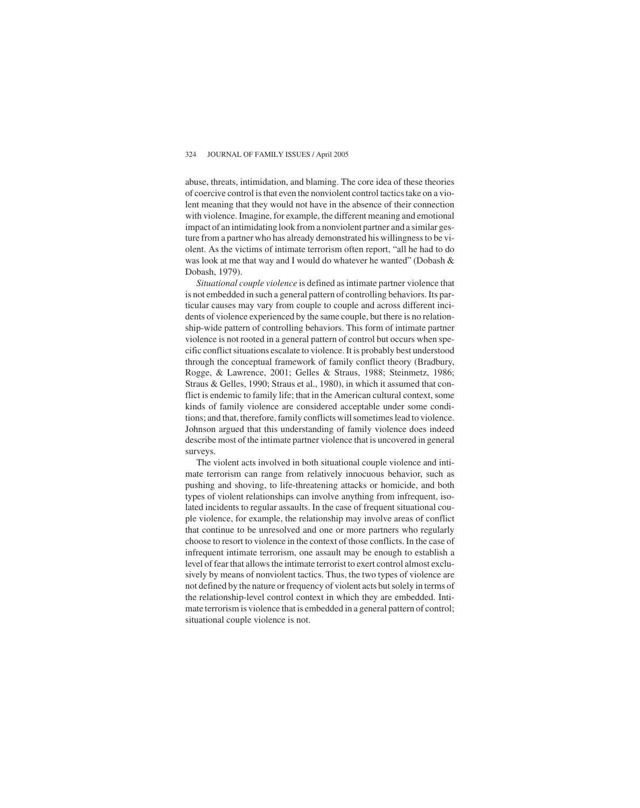abuse, threats, intimidation, and blaming. The core idea of these theories of coercive control is that even the nonviolent control tactics take on a violent meaning that they would not have in the absence of their connection with violence. Imagine, for example, the different meaning and emotional impact of an intimidating look from a nonviolent partner and a similar gesture from a partner who has already demonstrated his willingness to be violent. As the victims of intimate terrorism often report, "all he had to do was look at me that way and I would do whatever he wanted" (Dobash & Dobash, 1979).

*Situational couple violence* is defined as intimate partner violence that is not embedded in such a general pattern of controlling behaviors. Its particular causes may vary from couple to couple and across different incidents of violence experienced by the same couple, but there is no relationship-wide pattern of controlling behaviors. This form of intimate partner violence is not rooted in a general pattern of control but occurs when specific conflict situations escalate to violence. It is probably best understood through the conceptual framework of family conflict theory (Bradbury, Rogge, & Lawrence, 2001; Gelles & Straus, 1988; Steinmetz, 1986; Straus & Gelles, 1990; Straus et al., 1980), in which it assumed that conflict is endemic to family life; that in the American cultural context, some kinds of family violence are considered acceptable under some conditions; and that, therefore, family conflicts will sometimes lead to violence. Johnson argued that this understanding of family violence does indeed describe most of the intimate partner violence that is uncovered in general surveys.

The violent acts involved in both situational couple violence and intimate terrorism can range from relatively innocuous behavior, such as pushing and shoving, to life-threatening attacks or homicide, and both types of violent relationships can involve anything from infrequent, isolated incidents to regular assaults. In the case of frequent situational couple violence, for example, the relationship may involve areas of conflict that continue to be unresolved and one or more partners who regularly choose to resort to violence in the context of those conflicts. In the case of infrequent intimate terrorism, one assault may be enough to establish a level of fear that allows the intimate terrorist to exert control almost exclusively by means of nonviolent tactics. Thus, the two types of violence are not defined by the nature or frequency of violent acts but solely in terms of the relationship-level control context in which they are embedded. Intimate terrorism is violence that is embedded in a general pattern of control; situational couple violence is not.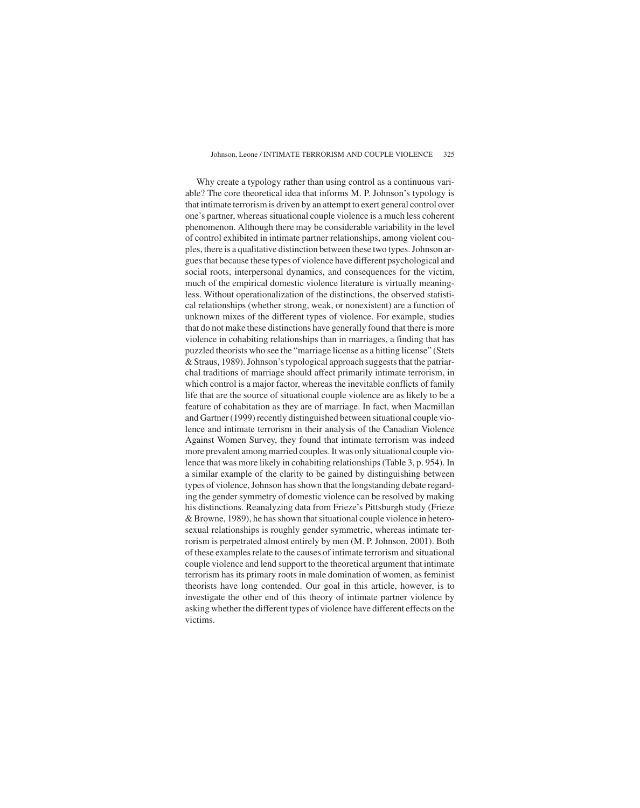Why create a typology rather than using control as a continuous variable? The core theoretical idea that informs M. P. Johnson's typology is that intimate terrorism is driven by an attempt to exert general control over one's partner, whereas situational couple violence is a much less coherent phenomenon. Although there may be considerable variability in the level of control exhibited in intimate partner relationships, among violent couples, there is a qualitative distinction between these two types. Johnson argues that because these types of violence have different psychological and social roots, interpersonal dynamics, and consequences for the victim, much of the empirical domestic violence literature is virtually meaningless. Without operationalization of the distinctions, the observed statistical relationships (whether strong, weak, or nonexistent) are a function of unknown mixes of the different types of violence. For example, studies that do not make these distinctions have generally found that there is more violence in cohabiting relationships than in marriages, a finding that has puzzled theorists who see the "marriage license as a hitting license" (Stets & Straus, 1989). Johnson's typological approach suggests that the patriarchal traditions of marriage should affect primarily intimate terrorism, in which control is a major factor, whereas the inevitable conflicts of family life that are the source of situational couple violence are as likely to be a feature of cohabitation as they are of marriage. In fact, when Macmillan and Gartner (1999) recently distinguished between situational couple violence and intimate terrorism in their analysis of the Canadian Violence Against Women Survey, they found that intimate terrorism was indeed more prevalent among married couples. It was only situational couple violence that was more likely in cohabiting relationships (Table 3, p. 954). In a similar example of the clarity to be gained by distinguishing between types of violence, Johnson has shown that the longstanding debate regarding the gender symmetry of domestic violence can be resolved by making his distinctions. Reanalyzing data from Frieze's Pittsburgh study (Frieze & Browne, 1989), he has shown that situational couple violence in heterosexual relationships is roughly gender symmetric, whereas intimate terrorism is perpetrated almost entirely by men (M. P. Johnson, 2001). Both of these examples relate to the causes of intimate terrorism and situational couple violence and lend support to the theoretical argument that intimate terrorism has its primary roots in male domination of women, as feminist theorists have long contended. Our goal in this article, however, is to investigate the other end of this theory of intimate partner violence by asking whether the different types of violence have different effects on the victims.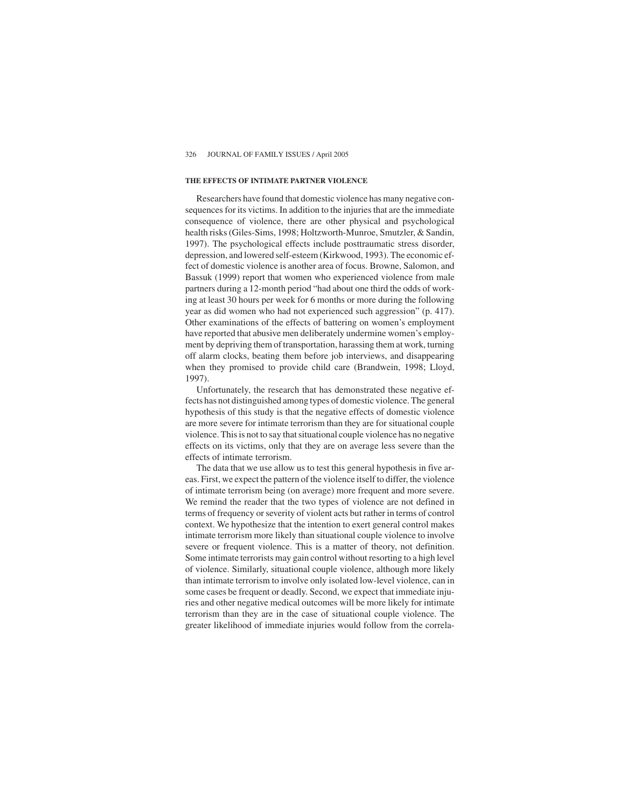# **THE EFFECTS OF INTIMATE PARTNER VIOLENCE**

Researchers have found that domestic violence has many negative consequences for its victims. In addition to the injuries that are the immediate consequence of violence, there are other physical and psychological health risks (Giles-Sims, 1998; Holtzworth-Munroe, Smutzler, & Sandin, 1997). The psychological effects include posttraumatic stress disorder, depression, and lowered self-esteem (Kirkwood, 1993). The economic effect of domestic violence is another area of focus. Browne, Salomon, and Bassuk (1999) report that women who experienced violence from male partners during a 12-month period "had about one third the odds of working at least 30 hours per week for 6 months or more during the following year as did women who had not experienced such aggression" (p. 417). Other examinations of the effects of battering on women's employment have reported that abusive men deliberately undermine women's employment by depriving them of transportation, harassing them at work, turning off alarm clocks, beating them before job interviews, and disappearing when they promised to provide child care (Brandwein, 1998; Lloyd, 1997).

Unfortunately, the research that has demonstrated these negative effects has not distinguished among types of domestic violence. The general hypothesis of this study is that the negative effects of domestic violence are more severe for intimate terrorism than they are for situational couple violence. This is not to say that situational couple violence has no negative effects on its victims, only that they are on average less severe than the effects of intimate terrorism.

The data that we use allow us to test this general hypothesis in five areas. First, we expect the pattern of the violence itself to differ, the violence of intimate terrorism being (on average) more frequent and more severe. We remind the reader that the two types of violence are not defined in terms of frequency or severity of violent acts but rather in terms of control context. We hypothesize that the intention to exert general control makes intimate terrorism more likely than situational couple violence to involve severe or frequent violence. This is a matter of theory, not definition. Some intimate terrorists may gain control without resorting to a high level of violence. Similarly, situational couple violence, although more likely than intimate terrorism to involve only isolated low-level violence, can in some cases be frequent or deadly. Second, we expect that immediate injuries and other negative medical outcomes will be more likely for intimate terrorism than they are in the case of situational couple violence. The greater likelihood of immediate injuries would follow from the correla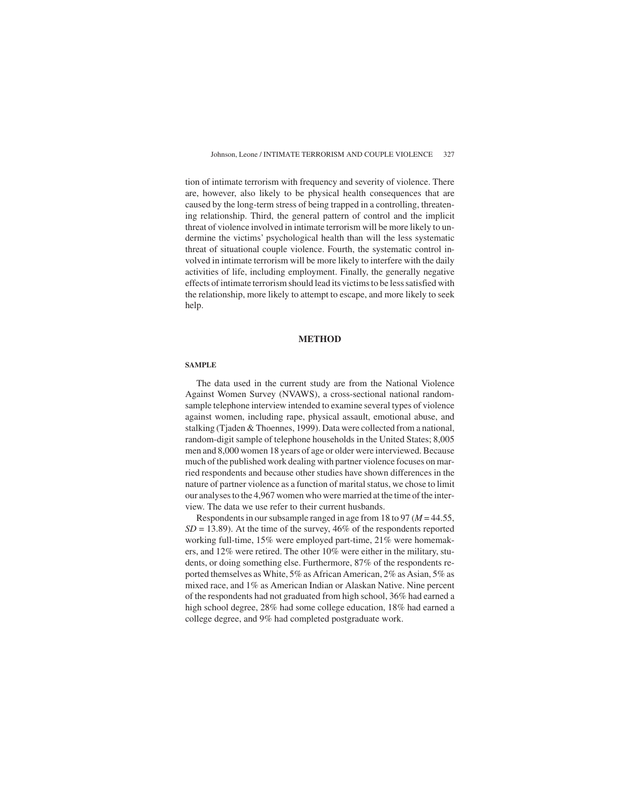tion of intimate terrorism with frequency and severity of violence. There are, however, also likely to be physical health consequences that are caused by the long-term stress of being trapped in a controlling, threatening relationship. Third, the general pattern of control and the implicit threat of violence involved in intimate terrorism will be more likely to undermine the victims' psychological health than will the less systematic threat of situational couple violence. Fourth, the systematic control involved in intimate terrorism will be more likely to interfere with the daily activities of life, including employment. Finally, the generally negative effects of intimate terrorism should lead its victims to be less satisfied with the relationship, more likely to attempt to escape, and more likely to seek help.

### **METHOD**

# **SAMPLE**

The data used in the current study are from the National Violence Against Women Survey (NVAWS), a cross-sectional national randomsample telephone interview intended to examine several types of violence against women, including rape, physical assault, emotional abuse, and stalking (Tjaden & Thoennes, 1999). Data were collected from a national, random-digit sample of telephone households in the United States; 8,005 men and 8,000 women 18 years of age or older were interviewed. Because much of the published work dealing with partner violence focuses on married respondents and because other studies have shown differences in the nature of partner violence as a function of marital status, we chose to limit our analyses to the 4,967 women who were married at the time of the interview. The data we use refer to their current husbands.

Respondents in our subsample ranged in age from 18 to 97 (*M* = 44.55,  $SD = 13.89$ ). At the time of the survey,  $46\%$  of the respondents reported working full-time, 15% were employed part-time, 21% were homemakers, and 12% were retired. The other 10% were either in the military, students, or doing something else. Furthermore, 87% of the respondents reported themselves as White, 5% as African American, 2% as Asian, 5% as mixed race, and 1% as American Indian or Alaskan Native. Nine percent of the respondents had not graduated from high school, 36% had earned a high school degree, 28% had some college education, 18% had earned a college degree, and 9% had completed postgraduate work.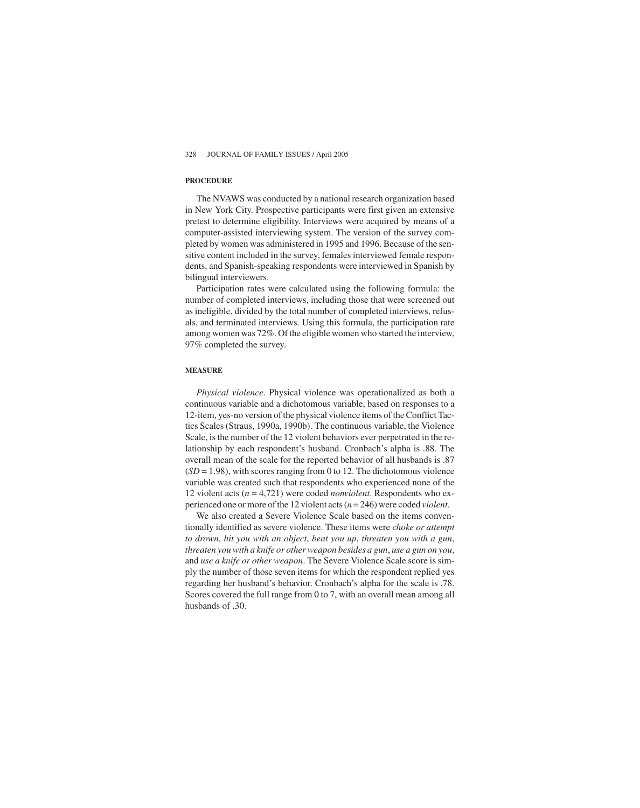## **PROCEDURE**

The NVAWS was conducted by a national research organization based in New York City. Prospective participants were first given an extensive pretest to determine eligibility. Interviews were acquired by means of a computer-assisted interviewing system. The version of the survey completed by women was administered in 1995 and 1996. Because of the sensitive content included in the survey, females interviewed female respondents, and Spanish-speaking respondents were interviewed in Spanish by bilingual interviewers.

Participation rates were calculated using the following formula: the number of completed interviews, including those that were screened out as ineligible, divided by the total number of completed interviews, refusals, and terminated interviews. Using this formula, the participation rate among women was 72%. Of the eligible women who started the interview, 97% completed the survey.

# **MEASURE**

*Physical violence*. Physical violence was operationalized as both a continuous variable and a dichotomous variable, based on responses to a 12-item, yes-no version of the physical violence items of the Conflict Tactics Scales (Straus, 1990a, 1990b). The continuous variable, the Violence Scale, is the number of the 12 violent behaviors ever perpetrated in the relationship by each respondent's husband. Cronbach's alpha is .88. The overall mean of the scale for the reported behavior of all husbands is .87  $(SD = 1.98)$ , with scores ranging from 0 to 12. The dichotomous violence variable was created such that respondents who experienced none of the 12 violent acts (*n* = 4,721) were coded *nonviolent*. Respondents who experienced one or more of the 12 violent acts (*n* = 246) were coded *violent*.

We also created a Severe Violence Scale based on the items conventionally identified as severe violence. These items were *choke or attempt to drown*, *hit you with an object*, *beat you up*, *threaten you with a gun*, *threaten you with a knife or other weapon besides a gun*, *use a gun on you*, and *use a knife or other weapon*. The Severe Violence Scale score is simply the number of those seven items for which the respondent replied yes regarding her husband's behavior. Cronbach's alpha for the scale is .78. Scores covered the full range from 0 to 7, with an overall mean among all husbands of .30.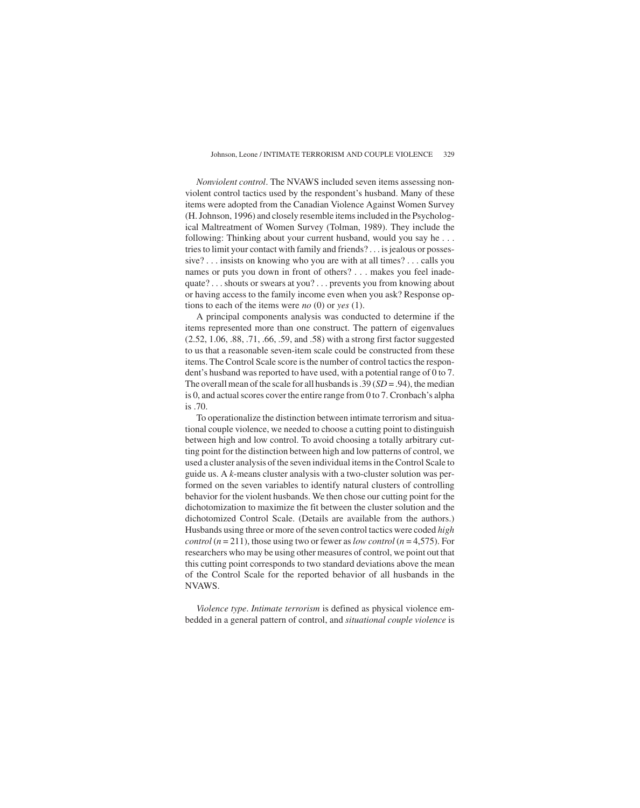*Nonviolent control*. The NVAWS included seven items assessing nonviolent control tactics used by the respondent's husband. Many of these items were adopted from the Canadian Violence Against Women Survey (H. Johnson, 1996) and closely resemble items included in the Psychological Maltreatment of Women Survey (Tolman, 1989). They include the following: Thinking about your current husband, would you say he . . . tries to limit your contact with family and friends? . . . is jealous or possessive? . . . insists on knowing who you are with at all times? . . . calls you names or puts you down in front of others? . . . makes you feel inadequate? . . . shouts or swears at you? . . . prevents you from knowing about or having access to the family income even when you ask? Response options to each of the items were *no* (0) or *yes* (1).

A principal components analysis was conducted to determine if the items represented more than one construct. The pattern of eigenvalues (2.52, 1.06, .88, .71, .66, .59, and .58) with a strong first factor suggested to us that a reasonable seven-item scale could be constructed from these items. The Control Scale score is the number of control tactics the respondent's husband was reported to have used, with a potential range of 0 to 7. The overall mean of the scale for all husbands is  $.39(SD = .94)$ , the median is 0, and actual scores cover the entire range from 0 to 7. Cronbach's alpha is .70.

To operationalize the distinction between intimate terrorism and situational couple violence, we needed to choose a cutting point to distinguish between high and low control. To avoid choosing a totally arbitrary cutting point for the distinction between high and low patterns of control, we used a cluster analysis of the seven individual items in the Control Scale to guide us. A *k*-means cluster analysis with a two-cluster solution was performed on the seven variables to identify natural clusters of controlling behavior for the violent husbands. We then chose our cutting point for the dichotomization to maximize the fit between the cluster solution and the dichotomized Control Scale. (Details are available from the authors.) Husbands using three or more of the seven control tactics were coded *high control*  $(n = 211)$ , those using two or fewer as *low control*  $(n = 4,575)$ . For researchers who may be using other measures of control, we point out that this cutting point corresponds to two standard deviations above the mean of the Control Scale for the reported behavior of all husbands in the NVAWS.

*Violence type*. *Intimate terrorism* is defined as physical violence embedded in a general pattern of control, and *situational couple violence* is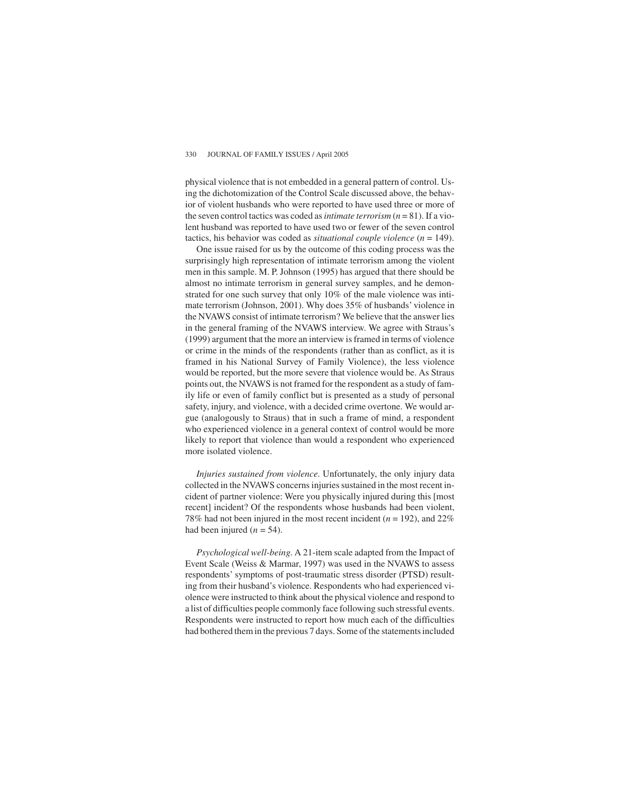physical violence that is not embedded in a general pattern of control. Using the dichotomization of the Control Scale discussed above, the behavior of violent husbands who were reported to have used three or more of the seven control tactics was coded as*intimate terrorism* (*n* = 81). If a violent husband was reported to have used two or fewer of the seven control tactics, his behavior was coded as *situational couple violence* (*n* = 149).

One issue raised for us by the outcome of this coding process was the surprisingly high representation of intimate terrorism among the violent men in this sample. M. P. Johnson (1995) has argued that there should be almost no intimate terrorism in general survey samples, and he demonstrated for one such survey that only 10% of the male violence was intimate terrorism (Johnson, 2001). Why does 35% of husbands' violence in the NVAWS consist of intimate terrorism? We believe that the answer lies in the general framing of the NVAWS interview. We agree with Straus's (1999) argument that the more an interview is framed in terms of violence or crime in the minds of the respondents (rather than as conflict, as it is framed in his National Survey of Family Violence), the less violence would be reported, but the more severe that violence would be. As Straus points out, the NVAWS is not framed for the respondent as a study of family life or even of family conflict but is presented as a study of personal safety, injury, and violence, with a decided crime overtone. We would argue (analogously to Straus) that in such a frame of mind, a respondent who experienced violence in a general context of control would be more likely to report that violence than would a respondent who experienced more isolated violence.

*Injuries sustained from violence*. Unfortunately, the only injury data collected in the NVAWS concerns injuries sustained in the most recent incident of partner violence: Were you physically injured during this [most recent] incident? Of the respondents whose husbands had been violent, 78% had not been injured in the most recent incident (*n* = 192), and 22% had been injured  $(n = 54)$ .

*Psychological well-being*. A 21-item scale adapted from the Impact of Event Scale (Weiss & Marmar, 1997) was used in the NVAWS to assess respondents' symptoms of post-traumatic stress disorder (PTSD) resulting from their husband's violence. Respondents who had experienced violence were instructed to think about the physical violence and respond to a list of difficulties people commonly face following such stressful events. Respondents were instructed to report how much each of the difficulties had bothered them in the previous 7 days. Some of the statements included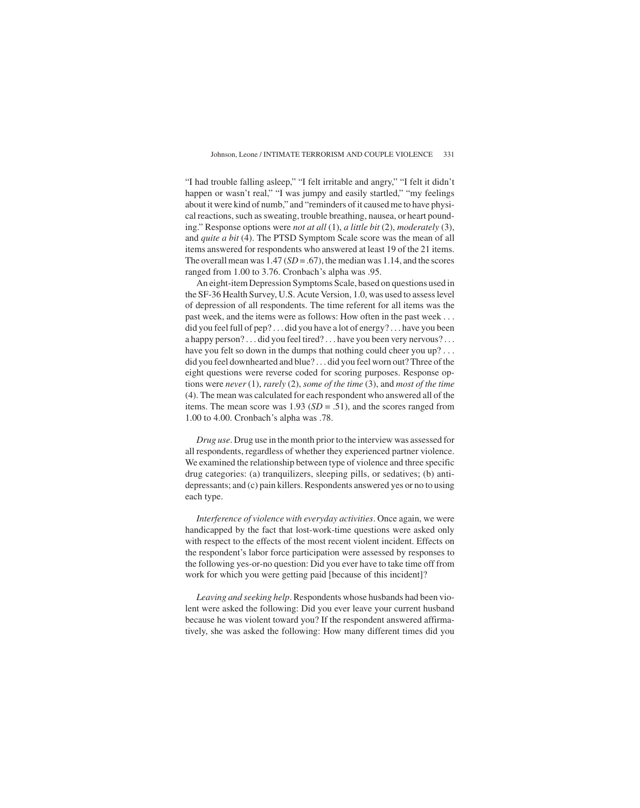"I had trouble falling asleep," "I felt irritable and angry," "I felt it didn't happen or wasn't real," "I was jumpy and easily startled," "my feelings about it were kind of numb," and "reminders of it caused me to have physical reactions, such as sweating, trouble breathing, nausea, or heart pounding." Response options were *not at all* (1), *a little bit* (2), *moderately* (3), and *quite a bit* (4). The PTSD Symptom Scale score was the mean of all items answered for respondents who answered at least 19 of the 21 items. The overall mean was  $1.47$  (*SD* = .67), the median was 1.14, and the scores ranged from 1.00 to 3.76. Cronbach's alpha was .95.

An eight-item Depression Symptoms Scale, based on questions used in the SF-36 Health Survey, U.S. Acute Version, 1.0, was used to assess level of depression of all respondents. The time referent for all items was the past week, and the items were as follows: How often in the past week . . . did you feel full of pep? . . . did you have a lot of energy? . . . have you been a happy person? . . . did you feel tired? . . . have you been very nervous? . . . have you felt so down in the dumps that nothing could cheer you up? . . . did you feel downhearted and blue? . . . did you feel worn out? Three of the eight questions were reverse coded for scoring purposes. Response options were *never* (1), *rarely* (2), *some of the time* (3), and *most of the time* (4). The mean was calculated for each respondent who answered all of the items. The mean score was  $1.93$  (*SD* = .51), and the scores ranged from 1.00 to 4.00. Cronbach's alpha was .78.

*Drug use*. Drug use in the month prior to the interview was assessed for all respondents, regardless of whether they experienced partner violence. We examined the relationship between type of violence and three specific drug categories: (a) tranquilizers, sleeping pills, or sedatives; (b) antidepressants; and (c) pain killers. Respondents answered yes or no to using each type.

*Interference of violence with everyday activities*. Once again, we were handicapped by the fact that lost-work-time questions were asked only with respect to the effects of the most recent violent incident. Effects on the respondent's labor force participation were assessed by responses to the following yes-or-no question: Did you ever have to take time off from work for which you were getting paid [because of this incident]?

*Leaving and seeking help*. Respondents whose husbands had been violent were asked the following: Did you ever leave your current husband because he was violent toward you? If the respondent answered affirmatively, she was asked the following: How many different times did you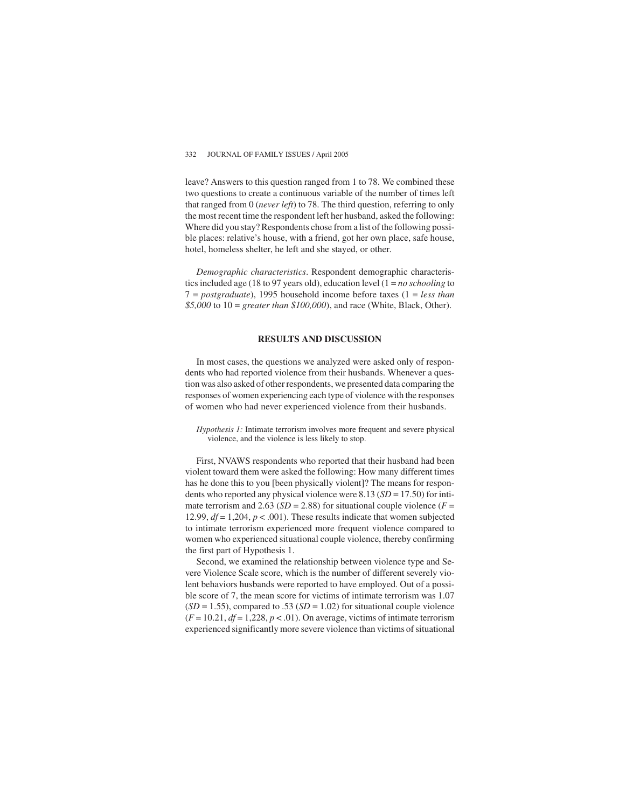leave? Answers to this question ranged from 1 to 78. We combined these two questions to create a continuous variable of the number of times left that ranged from 0 (*never left*) to 78. The third question, referring to only the most recent time the respondent left her husband, asked the following: Where did you stay? Respondents chose from a list of the following possible places: relative's house, with a friend, got her own place, safe house, hotel, homeless shelter, he left and she stayed, or other.

*Demographic characteristics*. Respondent demographic characteristics included age (18 to 97 years old), education level (1 = *no schooling* to 7 = *postgraduate*), 1995 household income before taxes (1 = *less than \$5,000* to 10 = *greater than \$100,000*), and race (White, Black, Other).

### **RESULTS AND DISCUSSION**

In most cases, the questions we analyzed were asked only of respondents who had reported violence from their husbands. Whenever a question was also asked of other respondents, we presented data comparing the responses of women experiencing each type of violence with the responses of women who had never experienced violence from their husbands.

*Hypothesis 1:* Intimate terrorism involves more frequent and severe physical violence, and the violence is less likely to stop.

First, NVAWS respondents who reported that their husband had been violent toward them were asked the following: How many different times has he done this to you [been physically violent]? The means for respondents who reported any physical violence were 8.13 (*SD* = 17.50) for intimate terrorism and 2.63 ( $SD = 2.88$ ) for situational couple violence ( $F =$ 12.99,  $df = 1,204$ ,  $p < .001$ ). These results indicate that women subjected to intimate terrorism experienced more frequent violence compared to women who experienced situational couple violence, thereby confirming the first part of Hypothesis 1.

Second, we examined the relationship between violence type and Severe Violence Scale score, which is the number of different severely violent behaviors husbands were reported to have employed. Out of a possible score of 7, the mean score for victims of intimate terrorism was 1.07  $(SD = 1.55)$ , compared to .53  $(SD = 1.02)$  for situational couple violence  $(F = 10.21, df = 1,228, p < .01)$ . On average, victims of intimate terrorism experienced significantly more severe violence than victims of situational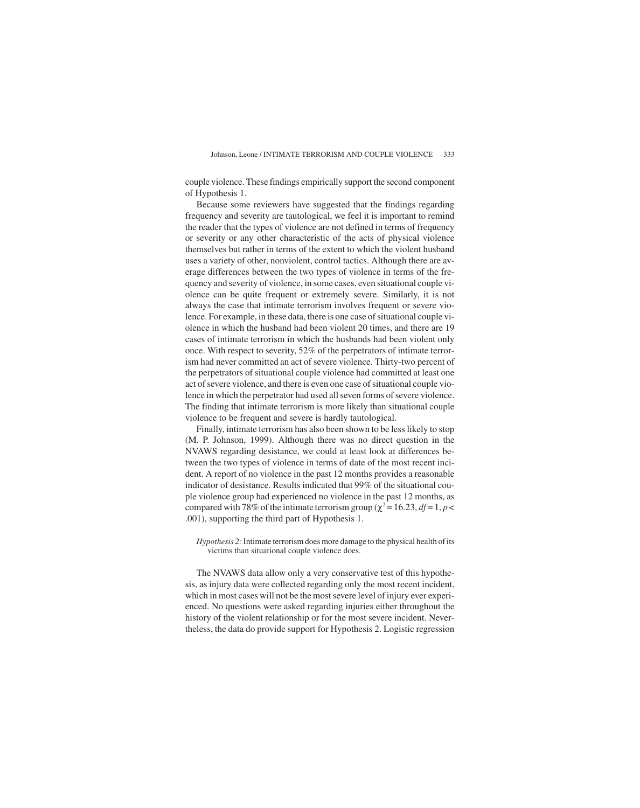couple violence. These findings empirically support the second component of Hypothesis 1.

Because some reviewers have suggested that the findings regarding frequency and severity are tautological, we feel it is important to remind the reader that the types of violence are not defined in terms of frequency or severity or any other characteristic of the acts of physical violence themselves but rather in terms of the extent to which the violent husband uses a variety of other, nonviolent, control tactics. Although there are average differences between the two types of violence in terms of the frequency and severity of violence, in some cases, even situational couple violence can be quite frequent or extremely severe. Similarly, it is not always the case that intimate terrorism involves frequent or severe violence. For example, in these data, there is one case of situational couple violence in which the husband had been violent 20 times, and there are 19 cases of intimate terrorism in which the husbands had been violent only once. With respect to severity, 52% of the perpetrators of intimate terrorism had never committed an act of severe violence. Thirty-two percent of the perpetrators of situational couple violence had committed at least one act of severe violence, and there is even one case of situational couple violence in which the perpetrator had used all seven forms of severe violence. The finding that intimate terrorism is more likely than situational couple violence to be frequent and severe is hardly tautological.

Finally, intimate terrorism has also been shown to be less likely to stop (M. P. Johnson, 1999). Although there was no direct question in the NVAWS regarding desistance, we could at least look at differences between the two types of violence in terms of date of the most recent incident. A report of no violence in the past 12 months provides a reasonable indicator of desistance. Results indicated that 99% of the situational couple violence group had experienced no violence in the past 12 months, as compared with 78% of the intimate terrorism group ( $χ² = 16.23, df = 1, p <$ .001), supporting the third part of Hypothesis 1.

*Hypothesis 2:*Intimate terrorism does more damage to the physical health of its victims than situational couple violence does.

The NVAWS data allow only a very conservative test of this hypothesis, as injury data were collected regarding only the most recent incident, which in most cases will not be the most severe level of injury ever experienced. No questions were asked regarding injuries either throughout the history of the violent relationship or for the most severe incident. Nevertheless, the data do provide support for Hypothesis 2. Logistic regression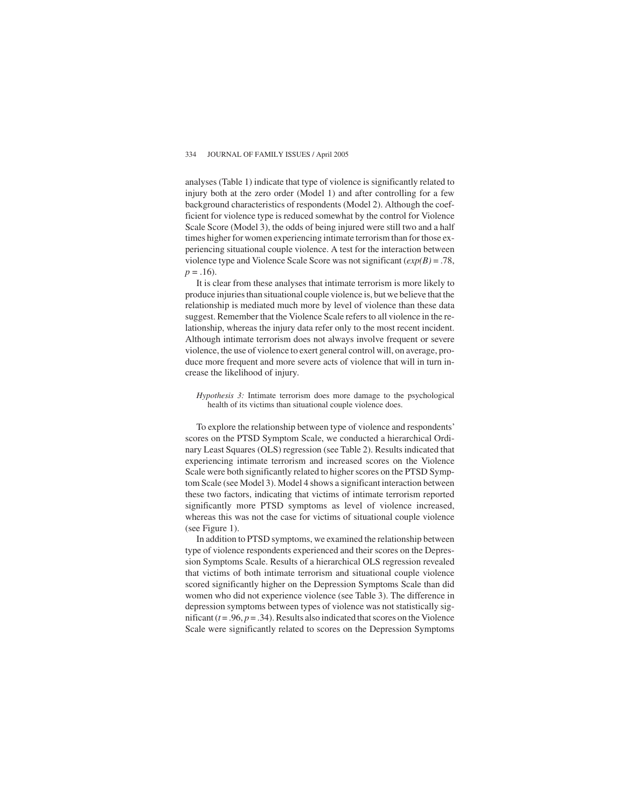analyses (Table 1) indicate that type of violence is significantly related to injury both at the zero order (Model 1) and after controlling for a few background characteristics of respondents (Model 2). Although the coefficient for violence type is reduced somewhat by the control for Violence Scale Score (Model 3), the odds of being injured were still two and a half times higher for women experiencing intimate terrorism than for those experiencing situational couple violence. A test for the interaction between violence type and Violence Scale Score was not significant (*exp(B)* = .78,  $p = .16$ ).

It is clear from these analyses that intimate terrorism is more likely to produce injuries than situational couple violence is, but we believe that the relationship is mediated much more by level of violence than these data suggest. Remember that the Violence Scale refers to all violence in the relationship, whereas the injury data refer only to the most recent incident. Although intimate terrorism does not always involve frequent or severe violence, the use of violence to exert general control will, on average, produce more frequent and more severe acts of violence that will in turn increase the likelihood of injury.

*Hypothesis 3:* Intimate terrorism does more damage to the psychological health of its victims than situational couple violence does.

To explore the relationship between type of violence and respondents' scores on the PTSD Symptom Scale, we conducted a hierarchical Ordinary Least Squares (OLS) regression (see Table 2). Results indicated that experiencing intimate terrorism and increased scores on the Violence Scale were both significantly related to higher scores on the PTSD Symptom Scale (see Model 3). Model 4 shows a significant interaction between these two factors, indicating that victims of intimate terrorism reported significantly more PTSD symptoms as level of violence increased, whereas this was not the case for victims of situational couple violence (see Figure 1).

In addition to PTSD symptoms, we examined the relationship between type of violence respondents experienced and their scores on the Depression Symptoms Scale. Results of a hierarchical OLS regression revealed that victims of both intimate terrorism and situational couple violence scored significantly higher on the Depression Symptoms Scale than did women who did not experience violence (see Table 3). The difference in depression symptoms between types of violence was not statistically significant  $(t = .96, p = .34)$ . Results also indicated that scores on the Violence Scale were significantly related to scores on the Depression Symptoms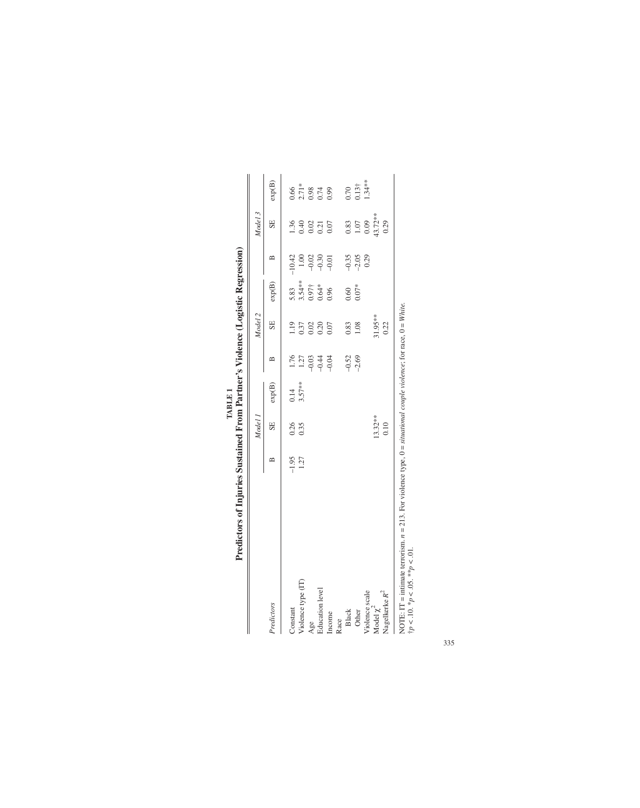|                    |         | Model 1    |           |                                         | Model 2                              |                             |          | Model 3                                     |                                 |
|--------------------|---------|------------|-----------|-----------------------------------------|--------------------------------------|-----------------------------|----------|---------------------------------------------|---------------------------------|
| Predictors         | ≏       | SE         | $\exp(B)$ | ≏                                       | SE                                   | $\exp(B)$                   | ≃        | SE                                          | $\exp(B)$                       |
| Constant           | $-1.95$ | 0.26       | 0.14      | 1.76                                    | 1.19                                 | 5.83                        | $-10.42$ | 1.36                                        | 0.66                            |
| Violence type (IT) | 1.27    | 0.35       | $3.57***$ |                                         |                                      | $3.54***$<br>0.97†<br>0.64* | 1.00     |                                             |                                 |
| Age                |         |            |           | $1.27$<br>$-9.33$<br>$-9.34$<br>$-9.04$ | $0.37$<br>$0.02$<br>$0.20$<br>$0.07$ |                             | $-0.02$  | 0.40<br>0.02<br>0.07                        | $2.71*$<br>0.98<br>0.00<br>0.99 |
| Education level    |         |            |           |                                         |                                      |                             | $-0.30$  |                                             |                                 |
| Income             |         |            |           |                                         |                                      | 0.96                        | $-0.01$  |                                             |                                 |
| Race               |         |            |           |                                         |                                      |                             |          |                                             |                                 |
| <b>Black</b>       |         |            |           |                                         | 0.83                                 | 0.60                        | $-0.35$  |                                             |                                 |
| Other              |         |            |           | $-0.52$<br>$-2.69$                      | 1.08                                 | $0.07*$                     | $-2.05$  | $\begin{array}{c} 0.83 \\ 1.07 \end{array}$ | $0.70$<br>$0.13$ †<br>$1.34***$ |
| Violence scale     |         |            |           |                                         |                                      |                             | 0.29     | 0.09                                        |                                 |
| Model $\chi^2$     |         | $13.32***$ |           |                                         | 31.95**                              |                             |          | 43.72**                                     |                                 |
| Nagelkerke $R^2$   |         | 0.10       |           |                                         | 0.22                                 |                             |          | 0.29                                        |                                 |

| The most in | I<br>i |
|-------------|--------|
|-------------|--------|

NOTE: IT = intimate terrorism. *n* = 213. For violence type, 0 = *situational couple violence*; for race, 0 = *White*.  $\frac{1}{2}$ ž type, u NOTE: 11 = minimate ecritism<br>  $tp < .10.$  \* $p < .05.$  \*\* $p < .01.$ †*p* < .10. \**p* < .05. \*\**p* < .01.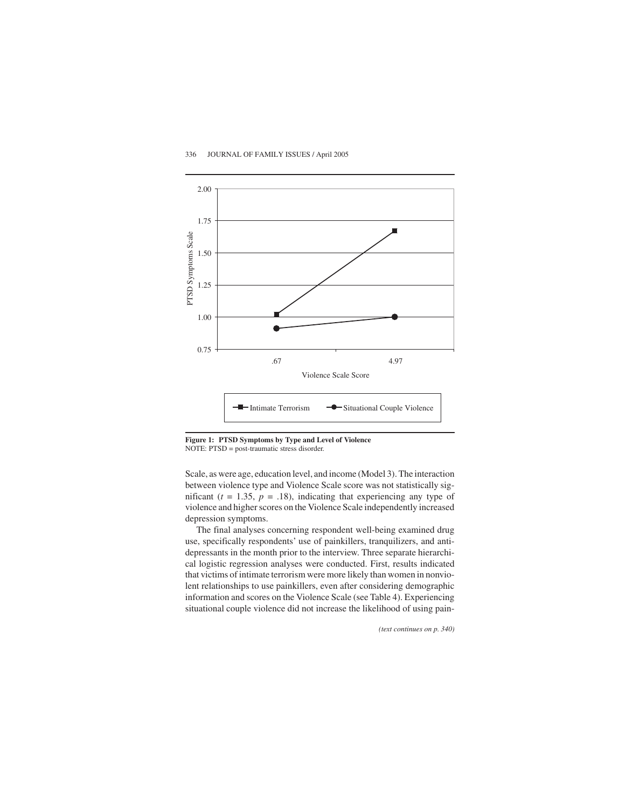

**Figure 1: PTSD Symptoms by Type and Level of Violence** NOTE: PTSD = post-traumatic stress disorder.

Scale, as were age, education level, and income (Model 3). The interaction between violence type and Violence Scale score was not statistically significant ( $t = 1.35$ ,  $p = .18$ ), indicating that experiencing any type of violence and higher scores on the Violence Scale independently increased depression symptoms.

The final analyses concerning respondent well-being examined drug use, specifically respondents' use of painkillers, tranquilizers, and antidepressants in the month prior to the interview. Three separate hierarchical logistic regression analyses were conducted. First, results indicated that victims of intimate terrorism were more likely than women in nonviolent relationships to use painkillers, even after considering demographic information and scores on the Violence Scale (see Table 4). Experiencing situational couple violence did not increase the likelihood of using pain-

*(text continues on p. 340)*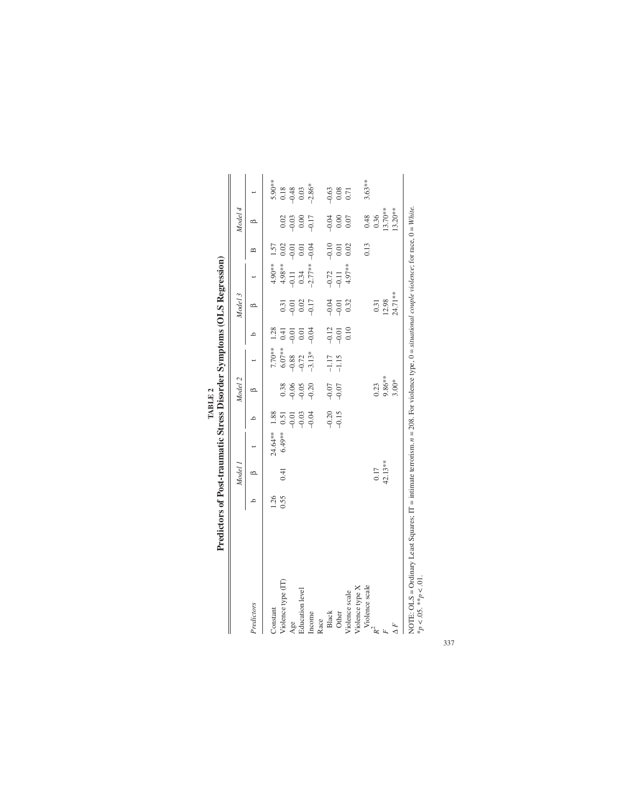|                                                                                                                                                                            |      | Model 1 |              |                                                    | Model 2 |                     |                     | Model 3                     |                                                        |                   | Model 4                 |                            |
|----------------------------------------------------------------------------------------------------------------------------------------------------------------------------|------|---------|--------------|----------------------------------------------------|---------|---------------------|---------------------|-----------------------------|--------------------------------------------------------|-------------------|-------------------------|----------------------------|
| Predictors                                                                                                                                                                 |      |         |              | c                                                  |         |                     |                     | ∞                           |                                                        | $\mathbf{r}$      | B                       |                            |
| Constant                                                                                                                                                                   | 1.26 |         | 24.64** 1.88 |                                                    |         | 7.70**              | 1.28                |                             |                                                        | 1.57              |                         | 5.90**                     |
| Violence type (IT)                                                                                                                                                         | 0.55 | 0.41    | $6.49***$    | 0.51                                               | 0.38    |                     | 0.41                | 0.31                        | 4.90**<br>4.98**<br>4.98**<br>-0.11<br>0.34<br>-2.77** | $0.02\,$          | 0.02                    |                            |
| Age                                                                                                                                                                        |      |         |              |                                                    | $-0.06$ | $6.07***$<br>0.88   |                     | $-0.01$                     |                                                        | $-0.01$           |                         |                            |
| <b>Education</b> level                                                                                                                                                     |      |         |              | $\begin{array}{c} 500 \\ 0.03 \\ 0.04 \end{array}$ | $-0.05$ | $-0.72$<br>$-3.13*$ | $\frac{0.01}{0.01}$ | $0.02$<br>$0.17$            |                                                        | $0.01\,$          | $-0.03$<br>0.00<br>0.00 | $0.18$<br>$0.48$<br>$0.03$ |
| Income                                                                                                                                                                     |      |         |              |                                                    | $-0.20$ |                     | $-0.04$             |                             |                                                        | $-0.04$           |                         | $-2.86*$                   |
| Race                                                                                                                                                                       |      |         |              |                                                    |         |                     |                     |                             |                                                        |                   |                         |                            |
| <b>Black</b>                                                                                                                                                               |      |         |              |                                                    |         | $-1.17$<br>$-1.15$  |                     |                             |                                                        |                   |                         |                            |
| Other                                                                                                                                                                      |      |         |              | $-0.20$<br>$-0.15$                                 | 0.07    |                     | $\frac{2}{9}$       | $\frac{3}{9}$ $\frac{5}{9}$ | $-0.72$<br>$-0.11$                                     | $-0.10$<br>$0.01$ | 0.00000                 | $0.63$<br>0.08<br>0.71     |
| Violence scale                                                                                                                                                             |      |         |              |                                                    |         |                     | 0.10                | 0.32                        | 4.97**                                                 | 0.02              | 0.07                    |                            |
| Violence type X                                                                                                                                                            |      |         |              |                                                    |         |                     |                     |                             |                                                        |                   |                         |                            |
| Violence scale                                                                                                                                                             |      |         |              |                                                    |         |                     |                     |                             |                                                        | 0.13              |                         | $3.63***$                  |
| $\mathcal{R}^2$                                                                                                                                                            |      | 0.17    |              |                                                    | 0.23    |                     |                     | 0.31                        |                                                        |                   | 0.48<br>0.36            |                            |
|                                                                                                                                                                            |      | 42.13** |              |                                                    | 9.86**  |                     |                     | 12.98                       |                                                        |                   | $13.70***$              |                            |
|                                                                                                                                                                            |      |         |              |                                                    | $3.00*$ |                     |                     | 24.71 **                    |                                                        |                   | $13.20***$              |                            |
| NOTE: Of $S = \text{Ordipary-1}$ east Squares: IT = intimate terrorism $n = 208$ . For violence type $\theta = \text{sim}$ cound counter violence for race $\theta = Whiv$ |      |         |              |                                                    |         |                     |                     |                             |                                                        |                   |                         |                            |

|                           | にこくこう |
|---------------------------|-------|
| <b>The Telephone</b><br>Į | I     |

NOTE: OLS = Ordinary Least Squares; IT = intimate terrorism. *n* = 208. For violence type, 0 = *situational couple violence*; for race, 0 = *White*. E NOTE: OLS = Ordin<br>\* $p < .05$ . \*\* $p < .01$ . \**p* < .05. \*\**p* < .01.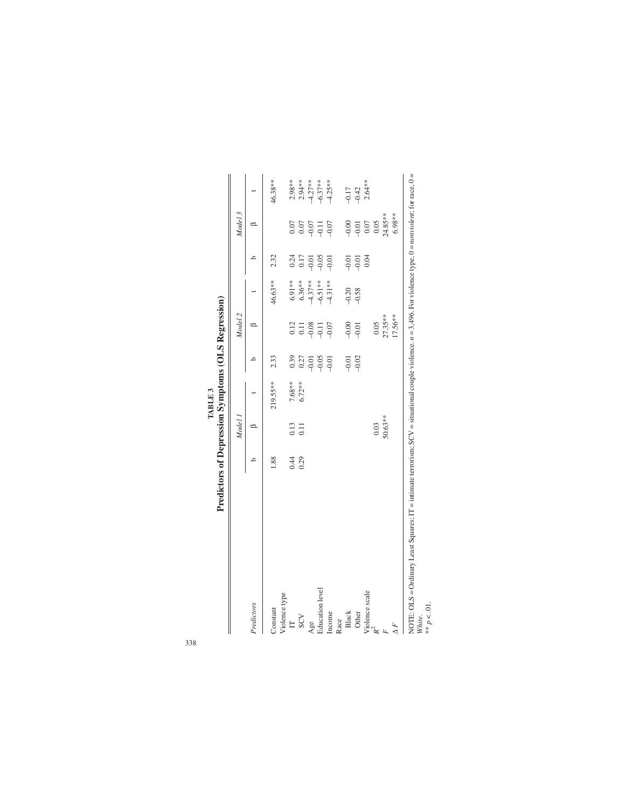|                        |      | Model.  |           |         | Model 2             |                      |         | Model 3            |            |
|------------------------|------|---------|-----------|---------|---------------------|----------------------|---------|--------------------|------------|
| Predictors             | ≏    | ∞       |           | م       | B                   |                      | $\circ$ | $\circ$            |            |
| Constant               | 1.88 |         | 219.55**  | 2.33    |                     | 46.63**              | 2.32    |                    | 46.38**    |
| Violence type          |      |         |           |         |                     |                      |         |                    |            |
| $\Xi$                  | 0.44 | 0.13    | 7.68**    | 0.39    |                     | $6.91***$            | 0.24    | 0.07               | $2.98***$  |
| SCV                    | 0.29 | 0.11    | $6.72***$ | 0.27    | $\frac{0.12}{0.11}$ | $6.36***$            | 0.17    |                    | $2.94***$  |
| Age                    |      |         |           | $-0.01$ | $-0.08$             | $-4.37***$           | $-0.01$ | $0.07$<br>0.07     | $-4.27***$ |
| <b>Education</b> level |      |         |           | $-0.05$ | $-0.11$             | $-6.51***$<br>4.31** | $-0.05$ | $-0.11$            | $-6.37**$  |
| Income                 |      |         |           | $-0.01$ | $-0.07$             |                      |         |                    | $-4.25**$  |
| Race                   |      |         |           |         |                     |                      |         |                    |            |
| Black                  |      |         |           | $-0.01$ | $-0.00$             |                      |         |                    | $-0.17$    |
| Other                  |      |         |           | $-0.02$ | $-0.01$             | $-0.58$              | $-0.01$ | 8 5 5 8<br>9 9 9 9 | $-0.42$    |
| Violence scale         |      |         |           |         |                     |                      | 0.04    |                    | $2.64**$   |
| $\mathcal{R}^2$        |      | 0.03    |           |         | 0.05                |                      |         |                    |            |
| Ŀ,                     |      | 50.63** |           |         | 27.35**             |                      |         | $24.85***$         |            |
| $\Delta F$             |      |         |           |         | 17.56**             |                      |         | $6.98***$          |            |

|         | OLS Regres                    |  |
|---------|-------------------------------|--|
|         |                               |  |
| TABLE 3 | dictors of Depression Symptom |  |

*White*. \*\* *p* < .01.

338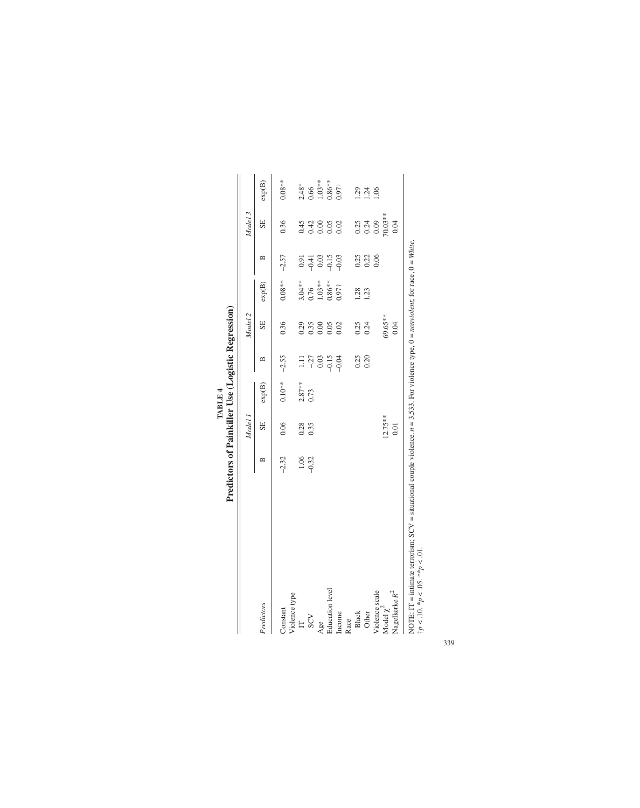|                                                                                                                                                        | Thomas 1934 And I to The The The Theory Theory |              |           |                                                    |              |                   |                |                      |                 |
|--------------------------------------------------------------------------------------------------------------------------------------------------------|------------------------------------------------|--------------|-----------|----------------------------------------------------|--------------|-------------------|----------------|----------------------|-----------------|
|                                                                                                                                                        |                                                | Model        |           |                                                    | Model 2      |                   |                | Model 3              |                 |
| Predictors                                                                                                                                             | ⋍                                              | SE           | exp(B)    | $\mathbf{\underline{\smash{\in}}}\hspace{-0.25cm}$ | SE           | exp(B)            | $\mathbf{\Xi}$ | SE                   | exp(B)          |
| Constant                                                                                                                                               | $-2.32$                                        | 0.06         | $0.10**$  | $-2.55$                                            | 0.36         | $0.08***$         | $-2.57$        | 0.36                 | $0.08**$        |
| Violence type<br>$\mathbb{E}$                                                                                                                          | 1.06                                           |              | $2.87***$ | $\Xi$                                              |              | $3.04***$         | 0.91           |                      |                 |
| SCV                                                                                                                                                    | $-0.32$                                        | 0.28<br>0.35 | 0.73      |                                                    | 0.29<br>0.35 | 0.76              | $-0.41$        | 0.45<br>0.42<br>0.00 | $2.48*$<br>0.66 |
| Age                                                                                                                                                    |                                                |              |           | $-27$<br>0.03                                      | 0.00         | $1.03**$          | 0.03           |                      | $1.03***$       |
| <b>Education</b> level                                                                                                                                 |                                                |              |           | $-0.15$                                            | 0.05         | $0.86***$         | $-0.15$        | 0.05                 | $0.86***$       |
| Income                                                                                                                                                 |                                                |              |           |                                                    | 0.02         | 0.97 <sup>†</sup> | $-0.03$        | 0.02                 | $0.97\dagger$   |
| Race                                                                                                                                                   |                                                |              |           |                                                    |              |                   |                |                      |                 |
| Black                                                                                                                                                  |                                                |              |           | 0.25                                               | 0.25         | 1.28              | 0.25           |                      | 1.29            |
| Other                                                                                                                                                  |                                                |              |           | 0.20                                               | 0.24         | 1.23              | 0.22           | 0.24                 | 1.24            |
| Violence scale                                                                                                                                         |                                                |              |           |                                                    |              |                   | 0.06           | 0.09                 | 1.06            |
| Model $\chi^2$                                                                                                                                         |                                                | $12.75**$    |           |                                                    | 69.65**      |                   |                | 70.03**              |                 |
| Nagelkerke $\boldsymbol{R}^2$                                                                                                                          |                                                | 0.01         |           |                                                    | 0.04         |                   |                | 0.04                 |                 |
| NOTE: IT = intimate terrorism; SCV = situational couple violence. $n = 3,533$ . For violence type, 0 = <i>nomiolent</i> ; for race, 0 = <i>White</i> . |                                                |              |           |                                                    |              |                   |                |                      |                 |

TABLE 4<br>Predictors of Painkiller Use (Logistic Regression) **Predictors of Painkiller Use (Logistic Regression) TABLE 4**

NOTE: IT = intimate terrorism; SCV = situational couple violence. *n* = 3,533. For violence type, 0 = *nonviolent*; for race, 0 = *White*. ು<br>ಬೆ ce type, u  $\ddot{=}$ ž NOTE: II = intimate terrorist<br>  $\dagger p < .10. \dagger p < .05. \dagger \dagger p < .01.$ †*p* < .10. \**p* < .05. \*\**p* < .01.

339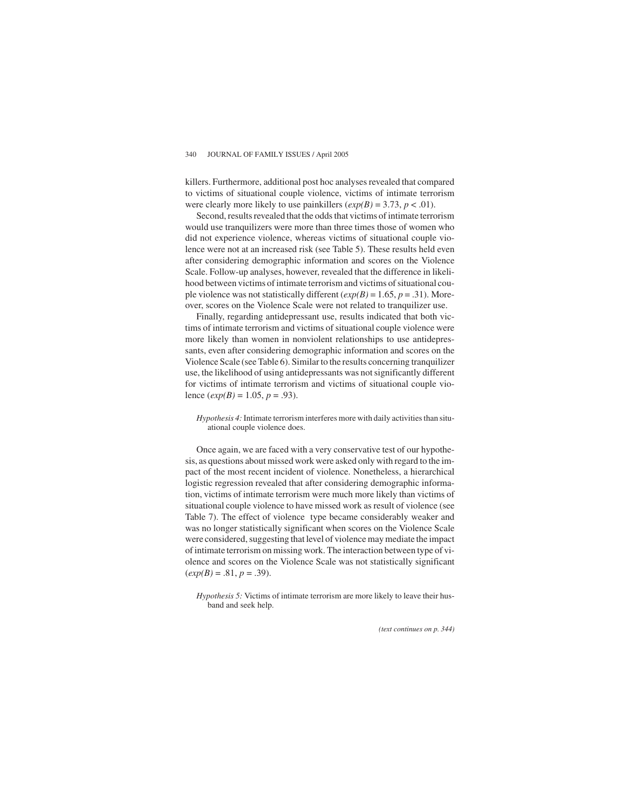killers. Furthermore, additional post hoc analyses revealed that compared to victims of situational couple violence, victims of intimate terrorism were clearly more likely to use painkillers  $(exp(B) = 3.73, p < .01)$ .

Second, results revealed that the odds that victims of intimate terrorism would use tranquilizers were more than three times those of women who did not experience violence, whereas victims of situational couple violence were not at an increased risk (see Table 5). These results held even after considering demographic information and scores on the Violence Scale. Follow-up analyses, however, revealed that the difference in likelihood between victims of intimate terrorism and victims of situational couple violence was not statistically different  $(exp(B) = 1.65, p = .31)$ . Moreover, scores on the Violence Scale were not related to tranquilizer use.

Finally, regarding antidepressant use, results indicated that both victims of intimate terrorism and victims of situational couple violence were more likely than women in nonviolent relationships to use antidepressants, even after considering demographic information and scores on the Violence Scale (see Table 6). Similar to the results concerning tranquilizer use, the likelihood of using antidepressants was not significantly different for victims of intimate terrorism and victims of situational couple violence  $(exp(B) = 1.05, p = .93)$ .

*Hypothesis 4:*Intimate terrorism interferes more with daily activities than situational couple violence does.

Once again, we are faced with a very conservative test of our hypothesis, as questions about missed work were asked only with regard to the impact of the most recent incident of violence. Nonetheless, a hierarchical logistic regression revealed that after considering demographic information, victims of intimate terrorism were much more likely than victims of situational couple violence to have missed work as result of violence (see Table 7). The effect of violence type became considerably weaker and was no longer statistically significant when scores on the Violence Scale were considered, suggesting that level of violence may mediate the impact of intimate terrorism on missing work. The interaction between type of violence and scores on the Violence Scale was not statistically significant  $(exp(B) = .81, p = .39).$ 

*(text continues on p. 344)*

*Hypothesis 5:* Victims of intimate terrorism are more likely to leave their husband and seek help.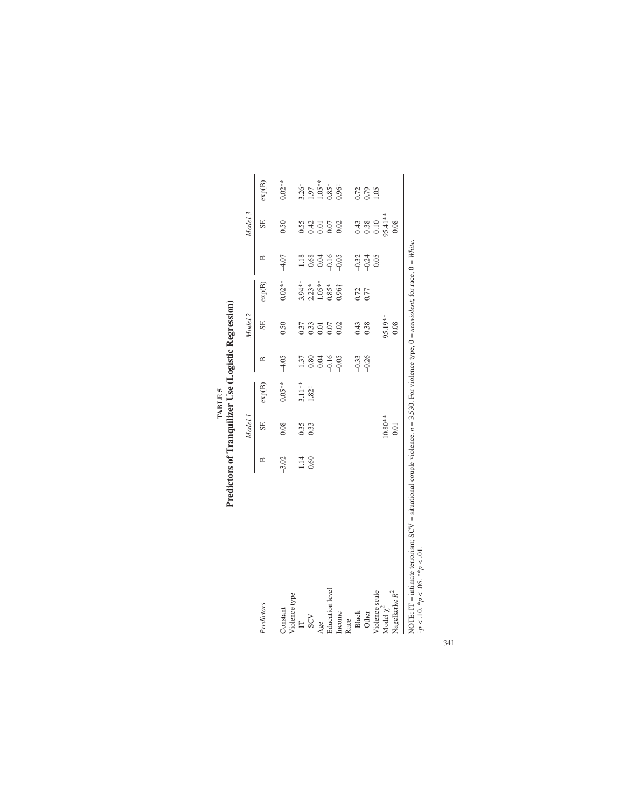|                               |                | Model     |                   |                              | Model 2      |                   |                | Model 3                |              |
|-------------------------------|----------------|-----------|-------------------|------------------------------|--------------|-------------------|----------------|------------------------|--------------|
| Predictors                    | $\overline{a}$ | SE        | exp(B)            | $\mathbf{a}$                 | SE           | exp(B)            | $\mathbf{a}$   | SE                     | exp(B)       |
| Constant                      | $-3.02$        | 0.08      | $0.05***$         | $-4.05$                      | 0.50         | $0.02***$         | $-4.07$        | 0.50                   | $0.02***$    |
| Violence type                 |                |           |                   |                              |              |                   |                |                        |              |
| $\Xi$                         | 1.14           | 0.35      | 3.11**            | 1.37                         | 0.37         | $3.94***$         | 1.18           |                        | $3.26*$      |
| SCV                           | 0.60           | 0.33      | 1.82 <sup>†</sup> | 0.80                         | 0.33         | $2.23*$           | 0.68           | $0.55$<br>0.42<br>0.01 | 1.97         |
| Age                           |                |           |                   |                              | 0.01         | 1.05**            | 0.04           |                        | $1.05***$    |
| Education level               |                |           |                   | $0.04$<br>$-0.16$<br>$-0.05$ | $0.07$       | $0.85*$           |                | $0.07$<br>$0.02$       | $0.85*$      |
| Income                        |                |           |                   |                              | 0.02         | 0.96 <sup>†</sup> | $-0.16$        |                        | $0.96 +$     |
| Race                          |                |           |                   |                              |              |                   |                |                        |              |
| <b>Black</b>                  |                |           |                   |                              |              |                   |                |                        |              |
| Other                         |                |           |                   | $-0.33$                      | 0.43<br>0.38 | $0.72$<br>$0.77$  | $9.32$<br>9.24 | 0.43<br>0.38           | 0.72<br>0.79 |
| Violence scale                |                |           |                   |                              |              |                   | 0.05           | $0.10\,$               | 1.05         |
| Model $\chi^2$                |                | $10.80**$ |                   |                              | 95.19**      |                   |                | 95.41**                |              |
| Nagelkerke $\boldsymbol{R}^2$ |                | 0.01      |                   |                              | 0.08         |                   |                | 0.08                   |              |

| $\frac{1}{2}$ e $($<br><b>TABLE 5</b><br>Į<br><b>CONTRACTOR</b><br>Į<br>ı<br>م<br>ء<br>ś<br>é | <b>COUNTY</b><br>آھ<br>م |
|-----------------------------------------------------------------------------------------------|--------------------------|
|                                                                                               |                          |

NOTE: IT = intimate terrorism; SCV = situational couple violence. *n* = 3,530. For violence type, 0 = *nonviolent*; for race, 0 = *White*. rh S NOTE: IT = intimate terrorism<br>  $\frac{1}{7}p < .10.$   $\frac{1}{7}p < .05.$   $\frac{1}{7}p < .01.$ †*p* < .10. \**p* < .05. \*\**p* < .01.

341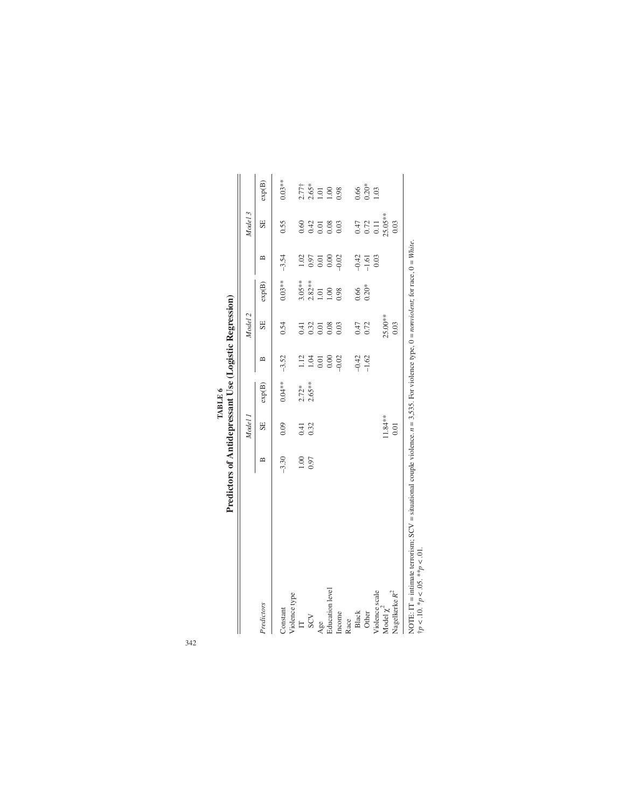| $-3.54$<br>$-0.42$<br>$1.02\,$<br>0.00<br>$-0.02$<br>0.03<br>0.97<br>$\mathbf{\Xi}$<br>0.01<br>$-1.61$<br>$0.03**$<br>$3.05***$<br>$2.82***$<br>$\exp(B)$<br>$0.20*$<br>0.66<br>1.01<br>1.00<br>0.98<br>Model 2<br>25.00**<br>SE<br>0.54<br>0.47<br>0.72<br>0.32<br>0.08<br>0.03<br>0.41<br>0.01<br>$-3.52$<br>$-0.42$<br>$-1.62$<br>1.12<br>$-0.02$<br>1.04<br>0.00<br>$\mathbf{\Xi}$<br>0.01<br>$0.04**$<br>$2.65***$<br>$\exp(\mathbf{B})$<br>$2.72*$<br>11.84**<br>Model<br>SE<br>0.09<br>0.32<br>0.41<br>$-3.30$<br>0.97<br>00.1<br>$\mathbf{r}$<br><b>Education</b> level<br>Violence scale<br>Violence type<br>Predictors<br>Model $\chi^2$<br>Constant<br>Income<br>Other<br>Black<br>SCV<br>Race<br>$\Xi$<br>Age | Predictors of Antidepressant Use (Logistic Regression) |  |  |  |         |                               |
|---------------------------------------------------------------------------------------------------------------------------------------------------------------------------------------------------------------------------------------------------------------------------------------------------------------------------------------------------------------------------------------------------------------------------------------------------------------------------------------------------------------------------------------------------------------------------------------------------------------------------------------------------------------------------------------------------------------------------|--------------------------------------------------------|--|--|--|---------|-------------------------------|
|                                                                                                                                                                                                                                                                                                                                                                                                                                                                                                                                                                                                                                                                                                                           |                                                        |  |  |  | Model 3 |                               |
|                                                                                                                                                                                                                                                                                                                                                                                                                                                                                                                                                                                                                                                                                                                           |                                                        |  |  |  | SE      | $\exp(\mathbf{B})$            |
|                                                                                                                                                                                                                                                                                                                                                                                                                                                                                                                                                                                                                                                                                                                           |                                                        |  |  |  | 0.55    | $0.03**$                      |
|                                                                                                                                                                                                                                                                                                                                                                                                                                                                                                                                                                                                                                                                                                                           |                                                        |  |  |  |         |                               |
|                                                                                                                                                                                                                                                                                                                                                                                                                                                                                                                                                                                                                                                                                                                           |                                                        |  |  |  | 0.60    |                               |
|                                                                                                                                                                                                                                                                                                                                                                                                                                                                                                                                                                                                                                                                                                                           |                                                        |  |  |  | 0.42    | $2.77†$<br>$2.65**$<br>$1.01$ |
|                                                                                                                                                                                                                                                                                                                                                                                                                                                                                                                                                                                                                                                                                                                           |                                                        |  |  |  | 0.01    |                               |
|                                                                                                                                                                                                                                                                                                                                                                                                                                                                                                                                                                                                                                                                                                                           |                                                        |  |  |  | 0.08    | $1.00\,$                      |
|                                                                                                                                                                                                                                                                                                                                                                                                                                                                                                                                                                                                                                                                                                                           |                                                        |  |  |  | 0.03    | 0.98                          |
|                                                                                                                                                                                                                                                                                                                                                                                                                                                                                                                                                                                                                                                                                                                           |                                                        |  |  |  |         |                               |
|                                                                                                                                                                                                                                                                                                                                                                                                                                                                                                                                                                                                                                                                                                                           |                                                        |  |  |  | 0.47    | 0.66                          |
|                                                                                                                                                                                                                                                                                                                                                                                                                                                                                                                                                                                                                                                                                                                           |                                                        |  |  |  | 0.72    | $0.20*$                       |
|                                                                                                                                                                                                                                                                                                                                                                                                                                                                                                                                                                                                                                                                                                                           |                                                        |  |  |  | 0.11    | 1.03                          |
|                                                                                                                                                                                                                                                                                                                                                                                                                                                                                                                                                                                                                                                                                                                           |                                                        |  |  |  | 25.05** |                               |
| 0.03<br>0.01<br>Nagelkerke $\boldsymbol{R}^2$                                                                                                                                                                                                                                                                                                                                                                                                                                                                                                                                                                                                                                                                             |                                                        |  |  |  | 0.03    |                               |

| Predictors of Antidepressant Use (Logistic Regression)<br><b>TABLE 6</b> |
|--------------------------------------------------------------------------|
|--------------------------------------------------------------------------|

NOTE: IT = intimate terrorism; SCV = situational couple violence. *n* = 3,535. For violence type, 0 = *nonviolent*; for race, 0 = *White*. type, Ĺ.  $\uparrow p < .10. * p < .05. * * p < .01.$ †*p* < .10. \**p* < .05. \*\**p* < .01.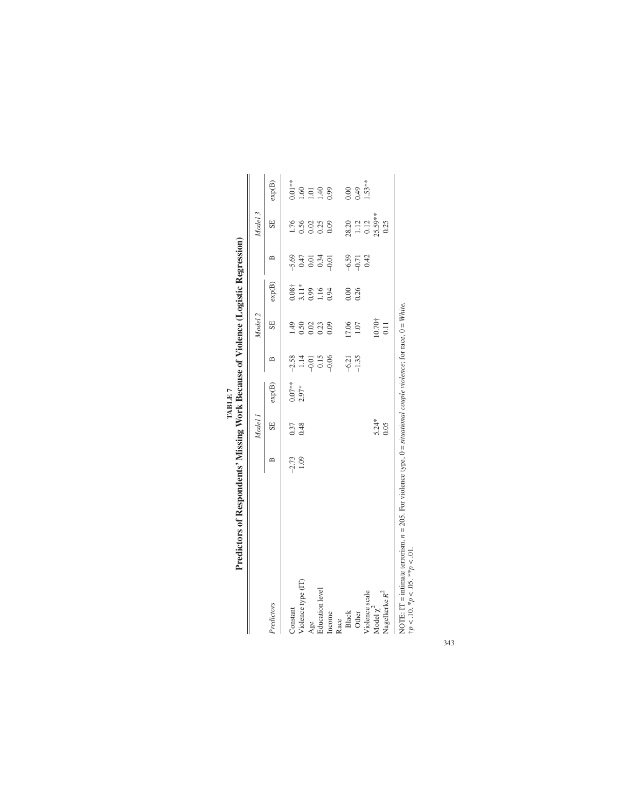| The contract of the second of the second of the second second second in the second of the second of the second of the second of the second of the second of the second of the second of the second of the second of the second |              |        |           |                         |                |               |                 |                                            |                  |
|--------------------------------------------------------------------------------------------------------------------------------------------------------------------------------------------------------------------------------|--------------|--------|-----------|-------------------------|----------------|---------------|-----------------|--------------------------------------------|------------------|
|                                                                                                                                                                                                                                |              | Model. |           |                         | Model 2        |               |                 | Model 3                                    |                  |
| Predictors                                                                                                                                                                                                                     | $\mathbf{a}$ | SE     | exp(B)    | $\approx$               | SE             | exp(B)        | ≏               | SE                                         | exp(B)           |
| Constant                                                                                                                                                                                                                       | $-2.73$      | 0.37   | $0.07***$ |                         | $\frac{49}{5}$ | $0.08\dagger$ |                 | 1.76                                       | $0.01**$         |
| Violence type (IT)                                                                                                                                                                                                             | 1.09         | 0.48   | $2.97*$   | $-2.58$<br>1.14         | 0.50           | $3.11*$       | $-5.69$<br>0.47 | 0.56                                       | 1.60             |
| Age                                                                                                                                                                                                                            |              |        |           |                         | 0.02           | 0.99          |                 |                                            | $1.01\,$         |
| Education level                                                                                                                                                                                                                |              |        |           | $-0.01$<br>0.15<br>0.06 | 0.23           | 1.16<br>0.94  | $0.01$<br>0.34  | $0.02$<br>0.25<br>0.09                     | $\overline{140}$ |
| Income                                                                                                                                                                                                                         |              |        |           |                         | 0.09           |               | 0.01            |                                            | 0.99             |
| Race                                                                                                                                                                                                                           |              |        |           |                         |                |               |                 |                                            |                  |
| Black                                                                                                                                                                                                                          |              |        |           | $-6.21$                 | 17.06          | 0.00          | $-6.59$         |                                            | 0.00             |
| Other                                                                                                                                                                                                                          |              |        |           | $-1.35$                 | $1.07\,$       | 0.26          | $-0.71$         | $28.20$<br>1.12<br>1.12<br>0.12<br>25.59** | 0.49             |
| Violence scale                                                                                                                                                                                                                 |              |        |           |                         |                |               | 0.42            |                                            | 1.53**           |
| Model $\chi^2$                                                                                                                                                                                                                 |              | 5.24*  |           |                         | 10.70†         |               |                 |                                            |                  |
| Nagelkerke $\boldsymbol{R}^2$                                                                                                                                                                                                  |              | 0.05   |           |                         | 0.11           |               |                 | 0.25                                       |                  |
| NOTE: IT = intimate terrorism. $n = 205$ . For violence type, 0 = <i>situational couple violence</i> ; for race, 0 = <i>White</i> .                                                                                            |              |        |           |                         |                |               |                 |                                            |                  |

TABLE 7<br>Predictors of Respondents' Missing Work Because of Violence (Logistic Regression) **Predictors of Respondents' Missing Work Because of Violence (Logistic Regression) TABLE 7**

NOTE: IT = intimate terrorism. *n* = 205. For violence type, 0 = *situational couple violence*; for race, 0 = *White*. UE LYPE, U NOTE: 11 = intimate terrorish<br>  $\dagger p < .10$ .  $\dagger p < .05$ .  $\dagger \dagger p < .01$ . †*p* < .10. \**p* < .05. \*\**p* < .01.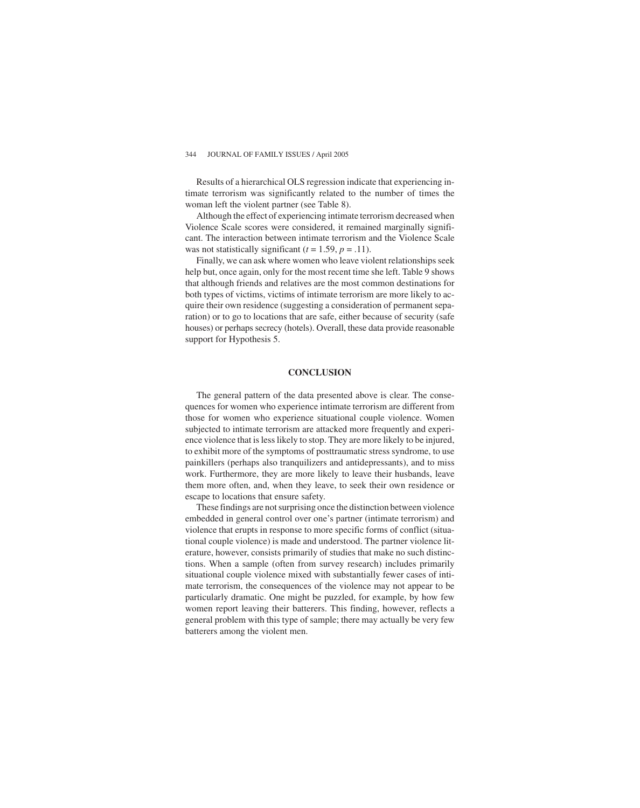Results of a hierarchical OLS regression indicate that experiencing intimate terrorism was significantly related to the number of times the woman left the violent partner (see Table 8).

Although the effect of experiencing intimate terrorism decreased when Violence Scale scores were considered, it remained marginally significant. The interaction between intimate terrorism and the Violence Scale was not statistically significant  $(t = 1.59, p = .11)$ .

Finally, we can ask where women who leave violent relationships seek help but, once again, only for the most recent time she left. Table 9 shows that although friends and relatives are the most common destinations for both types of victims, victims of intimate terrorism are more likely to acquire their own residence (suggesting a consideration of permanent separation) or to go to locations that are safe, either because of security (safe houses) or perhaps secrecy (hotels). Overall, these data provide reasonable support for Hypothesis 5.

# **CONCLUSION**

The general pattern of the data presented above is clear. The consequences for women who experience intimate terrorism are different from those for women who experience situational couple violence. Women subjected to intimate terrorism are attacked more frequently and experience violence that is less likely to stop. They are more likely to be injured, to exhibit more of the symptoms of posttraumatic stress syndrome, to use painkillers (perhaps also tranquilizers and antidepressants), and to miss work. Furthermore, they are more likely to leave their husbands, leave them more often, and, when they leave, to seek their own residence or escape to locations that ensure safety.

These findings are not surprising once the distinction between violence embedded in general control over one's partner (intimate terrorism) and violence that erupts in response to more specific forms of conflict (situational couple violence) is made and understood. The partner violence literature, however, consists primarily of studies that make no such distinctions. When a sample (often from survey research) includes primarily situational couple violence mixed with substantially fewer cases of intimate terrorism, the consequences of the violence may not appear to be particularly dramatic. One might be puzzled, for example, by how few women report leaving their batterers. This finding, however, reflects a general problem with this type of sample; there may actually be very few batterers among the violent men.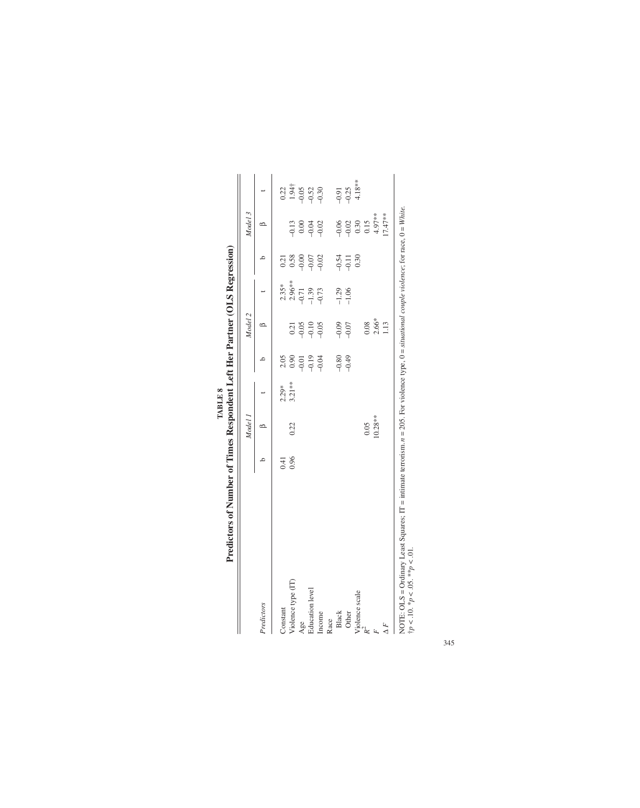|                                                                                                                                                   |      | Model 1    |           |                                                     | Model 2                       |                               |                            | Model 3                                                          |                                 |
|---------------------------------------------------------------------------------------------------------------------------------------------------|------|------------|-----------|-----------------------------------------------------|-------------------------------|-------------------------------|----------------------------|------------------------------------------------------------------|---------------------------------|
| Predictors                                                                                                                                        |      | ∞          |           |                                                     |                               |                               | $\circ$                    | $\circ$                                                          |                                 |
| Constant                                                                                                                                          | 0.41 |            | $2.29*$   | 2.05                                                |                               |                               | 0.21                       |                                                                  |                                 |
| Violence type (IT)                                                                                                                                | 0.96 | 0.22       | $3.21***$ | 0.90                                                | 0.21                          | $2.35**$<br>2.96**            | 0.58                       |                                                                  |                                 |
| Age                                                                                                                                               |      |            |           |                                                     |                               |                               | $-0.00$                    |                                                                  |                                 |
| Education level                                                                                                                                   |      |            |           | $\begin{array}{c} 0.01 \\ 0.19 \\ 0.04 \end{array}$ | $-0.05$<br>$-0.10$<br>$-0.05$ | $-0.71$<br>$-1.39$<br>$-0.73$ | $-0.07$                    | $\begin{array}{c} 13 \\ 0.8 \\ 0.9 \\ 9.0 \\ \hline \end{array}$ | $0.22$<br>1.94†<br>1.95<br>9.99 |
| Income                                                                                                                                            |      |            |           |                                                     |                               |                               | $-0.02$                    |                                                                  |                                 |
| Race                                                                                                                                              |      |            |           |                                                     |                               |                               |                            |                                                                  |                                 |
| <b>Black</b>                                                                                                                                      |      |            |           |                                                     |                               |                               |                            |                                                                  |                                 |
| Other                                                                                                                                             |      |            |           | 6,49                                                | 0.07                          | $-1.36$                       | $0.54$<br>$0.11$<br>$0.30$ | 86<br>988<br>9985                                                | $-0.91$<br>$-0.25$<br>$4.18***$ |
| Violence scale                                                                                                                                    |      |            |           |                                                     |                               |                               |                            |                                                                  |                                 |
|                                                                                                                                                   |      | 0.05       |           |                                                     | 0.08                          |                               |                            |                                                                  |                                 |
|                                                                                                                                                   |      | $10.28***$ |           |                                                     | $2.66*$                       |                               |                            | $4.97**$                                                         |                                 |
|                                                                                                                                                   |      |            |           |                                                     | 1.13                          |                               |                            | $17.47***$                                                       |                                 |
| NOTE: OLS = Ordinary Least Squares; IT = intimate terrorism. $n = 205$ . For violence type, 0 = situational couple violence; for race, 0 = White. |      |            |           |                                                     |                               |                               |                            |                                                                  |                                 |

|  | <b>TADID</b> O | ī<br>j<br>I voli *<br>S |
|--|----------------|-------------------------|
|--|----------------|-------------------------|

NOTE:  $\text{OLS} = \text{Ot}$  and  $\text{V}$  reason if  $p < .0.5$ .  $\text{**}$   $p < .01$ . †*p* < .10. \**p* < .05. \*\**p* < .01.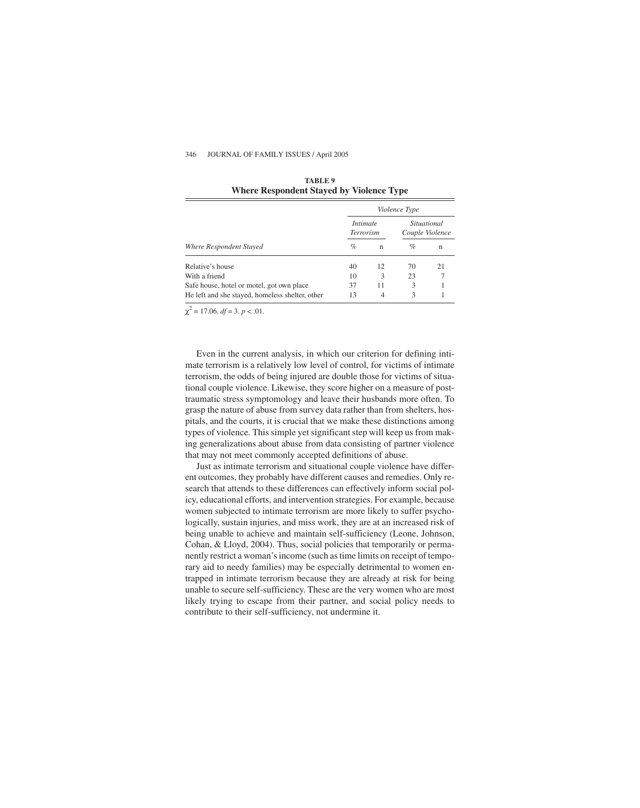|                                                 | $\cdots$ and $\cdots$ and $\cdots$ and $\cdots$ and $\cdots$ and $\cdots$ and $\cdots$ and $\cdots$ and $\cdots$ |              |                                |    |  |
|-------------------------------------------------|------------------------------------------------------------------------------------------------------------------|--------------|--------------------------------|----|--|
|                                                 | <i>Violence Type</i>                                                                                             |              |                                |    |  |
|                                                 | <i>Intimate</i><br><b>Terrorism</b>                                                                              |              | Situational<br>Couple Violence |    |  |
| Where Respondent Stayed                         | $\%$                                                                                                             | $\mathsf{n}$ | $\%$                           | n  |  |
| Relative's house                                | 40                                                                                                               | 12           | 70                             | 21 |  |
| With a friend                                   | 10                                                                                                               | 3            | 23                             |    |  |
| Safe house, hotel or motel, got own place       | 37                                                                                                               | 11           | 3                              |    |  |
| He left and she stayed, homeless shelter, other | 13                                                                                                               | 4            | 3                              |    |  |

**TABLE 9 Where Respondent Stayed by Violence Type**

 $\gamma^2 = 17.06$ .  $df = 3$ .  $p < .01$ .

Even in the current analysis, in which our criterion for defining intimate terrorism is a relatively low level of control, for victims of intimate terrorism, the odds of being injured are double those for victims of situational couple violence. Likewise, they score higher on a measure of posttraumatic stress symptomology and leave their husbands more often. To grasp the nature of abuse from survey data rather than from shelters, hospitals, and the courts, it is crucial that we make these distinctions among types of violence. This simple yet significant step will keep us from making generalizations about abuse from data consisting of partner violence that may not meet commonly accepted definitions of abuse.

Just as intimate terrorism and situational couple violence have different outcomes, they probably have different causes and remedies. Only research that attends to these differences can effectively inform social policy, educational efforts, and intervention strategies. For example, because women subjected to intimate terrorism are more likely to suffer psychologically, sustain injuries, and miss work, they are at an increased risk of being unable to achieve and maintain self-sufficiency (Leone, Johnson, Cohan, & Lloyd, 2004). Thus, social policies that temporarily or permanently restrict a woman's income (such as time limits on receipt of temporary aid to needy families) may be especially detrimental to women entrapped in intimate terrorism because they are already at risk for being unable to secure self-sufficiency. These are the very women who are most likely trying to escape from their partner, and social policy needs to contribute to their self-sufficiency, not undermine it.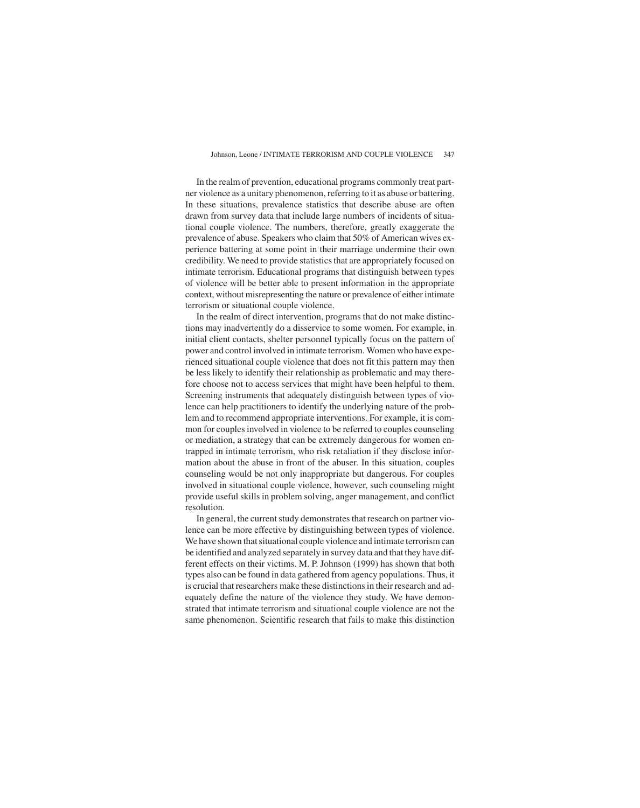In the realm of prevention, educational programs commonly treat partner violence as a unitary phenomenon, referring to it as abuse or battering. In these situations, prevalence statistics that describe abuse are often drawn from survey data that include large numbers of incidents of situational couple violence. The numbers, therefore, greatly exaggerate the prevalence of abuse. Speakers who claim that 50% of American wives experience battering at some point in their marriage undermine their own credibility. We need to provide statistics that are appropriately focused on intimate terrorism. Educational programs that distinguish between types of violence will be better able to present information in the appropriate context, without misrepresenting the nature or prevalence of either intimate terrorism or situational couple violence.

In the realm of direct intervention, programs that do not make distinctions may inadvertently do a disservice to some women. For example, in initial client contacts, shelter personnel typically focus on the pattern of power and control involved in intimate terrorism. Women who have experienced situational couple violence that does not fit this pattern may then be less likely to identify their relationship as problematic and may therefore choose not to access services that might have been helpful to them. Screening instruments that adequately distinguish between types of violence can help practitioners to identify the underlying nature of the problem and to recommend appropriate interventions. For example, it is common for couples involved in violence to be referred to couples counseling or mediation, a strategy that can be extremely dangerous for women entrapped in intimate terrorism, who risk retaliation if they disclose information about the abuse in front of the abuser. In this situation, couples counseling would be not only inappropriate but dangerous. For couples involved in situational couple violence, however, such counseling might provide useful skills in problem solving, anger management, and conflict resolution.

In general, the current study demonstrates that research on partner violence can be more effective by distinguishing between types of violence. We have shown that situational couple violence and intimate terrorism can be identified and analyzed separately in survey data and that they have different effects on their victims. M. P. Johnson (1999) has shown that both types also can be found in data gathered from agency populations. Thus, it is crucial that researchers make these distinctions in their research and adequately define the nature of the violence they study. We have demonstrated that intimate terrorism and situational couple violence are not the same phenomenon. Scientific research that fails to make this distinction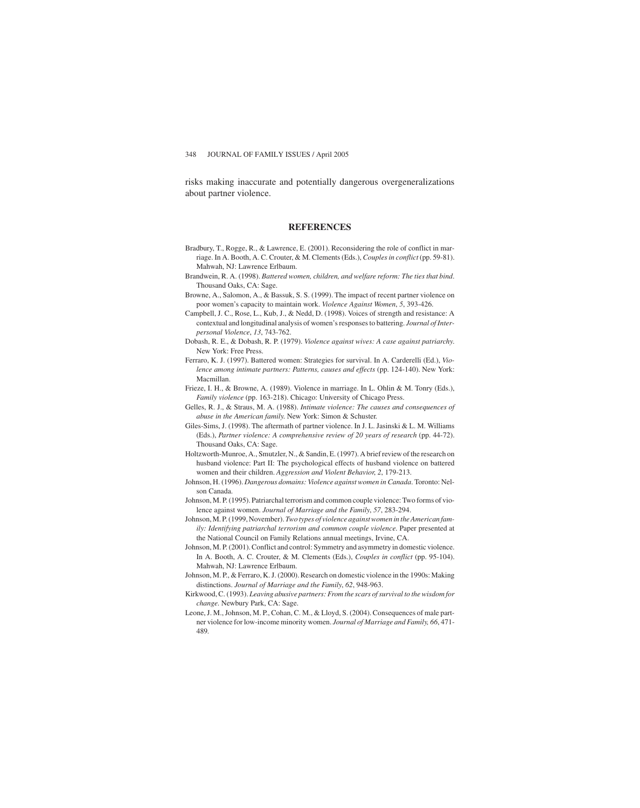risks making inaccurate and potentially dangerous overgeneralizations about partner violence.

# **REFERENCES**

- Bradbury, T., Rogge, R., & Lawrence, E. (2001). Reconsidering the role of conflict in marriage. In A. Booth, A. C. Crouter, & M. Clements (Eds.), *Couples in conflict* (pp. 59-81). Mahwah, NJ: Lawrence Erlbaum.
- Brandwein, R. A. (1998). *Battered women, children, and welfare reform: The ties that bind*. Thousand Oaks, CA: Sage.
- Browne, A., Salomon, A., & Bassuk, S. S. (1999). The impact of recent partner violence on poor women's capacity to maintain work. *Violence Against Women*, *5*, 393-426.
- Campbell, J. C., Rose, L., Kub, J., & Nedd, D. (1998). Voices of strength and resistance: A contextual and longitudinal analysis of women's responses to battering. *Journal of Interpersonal Violence*, *13*, 743-762.
- Dobash, R. E., & Dobash, R. P. (1979). *Violence against wives: A case against patriarchy*. New York: Free Press.
- Ferraro, K. J. (1997). Battered women: Strategies for survival. In A. Carderelli (Ed.), *Violence among intimate partners: Patterns, causes and effects* (pp. 124-140). New York: Macmillan.
- Frieze, I. H., & Browne, A. (1989). Violence in marriage. In L. Ohlin & M. Tonry (Eds.), *Family violence* (pp. 163-218). Chicago: University of Chicago Press.
- Gelles, R. J., & Straus, M. A. (1988). *Intimate violence: The causes and consequences of abuse in the American family*. New York: Simon & Schuster.
- Giles-Sims, J. (1998). The aftermath of partner violence. In J. L. Jasinski & L. M. Williams (Eds.), *Partner violence: A comprehensive review of 20 years of research* (pp. 44-72). Thousand Oaks, CA: Sage.
- Holtzworth-Munroe, A., Smutzler, N., & Sandin, E. (1997). A brief review of the research on husband violence: Part II: The psychological effects of husband violence on battered women and their children. *Aggression and Violent Behavior*, *2*, 179-213.
- Johnson, H. (1996). *Dangerous domains: Violence against women in Canada*. Toronto: Nelson Canada.
- Johnson, M. P. (1995). Patriarchal terrorism and common couple violence: Two forms of violence against women. *Journal of Marriage and the Family*, *57*, 283-294.
- Johnson, M. P. (1999, November).*Two types of violence against women in the American family: Identifying patriarchal terrorism and common couple violence*. Paper presented at the National Council on Family Relations annual meetings, Irvine, CA.
- Johnson, M. P. (2001). Conflict and control: Symmetry and asymmetry in domestic violence. In A. Booth, A. C. Crouter, & M. Clements (Eds.), *Couples in conflict* (pp. 95-104). Mahwah, NJ: Lawrence Erlbaum.
- Johnson, M. P., & Ferraro, K. J. (2000). Research on domestic violence in the 1990s: Making distinctions. *Journal of Marriage and the Family*, *62*, 948-963.
- Kirkwood, C. (1993). *Leaving abusive partners: From the scars of survival to the wisdom for change*. Newbury Park, CA: Sage.
- Leone, J. M., Johnson, M. P., Cohan, C. M., & Lloyd, S. (2004). Consequences of male partner violence for low-income minority women. *Journal of Marriage and Family, 66*, 471- 489*.*